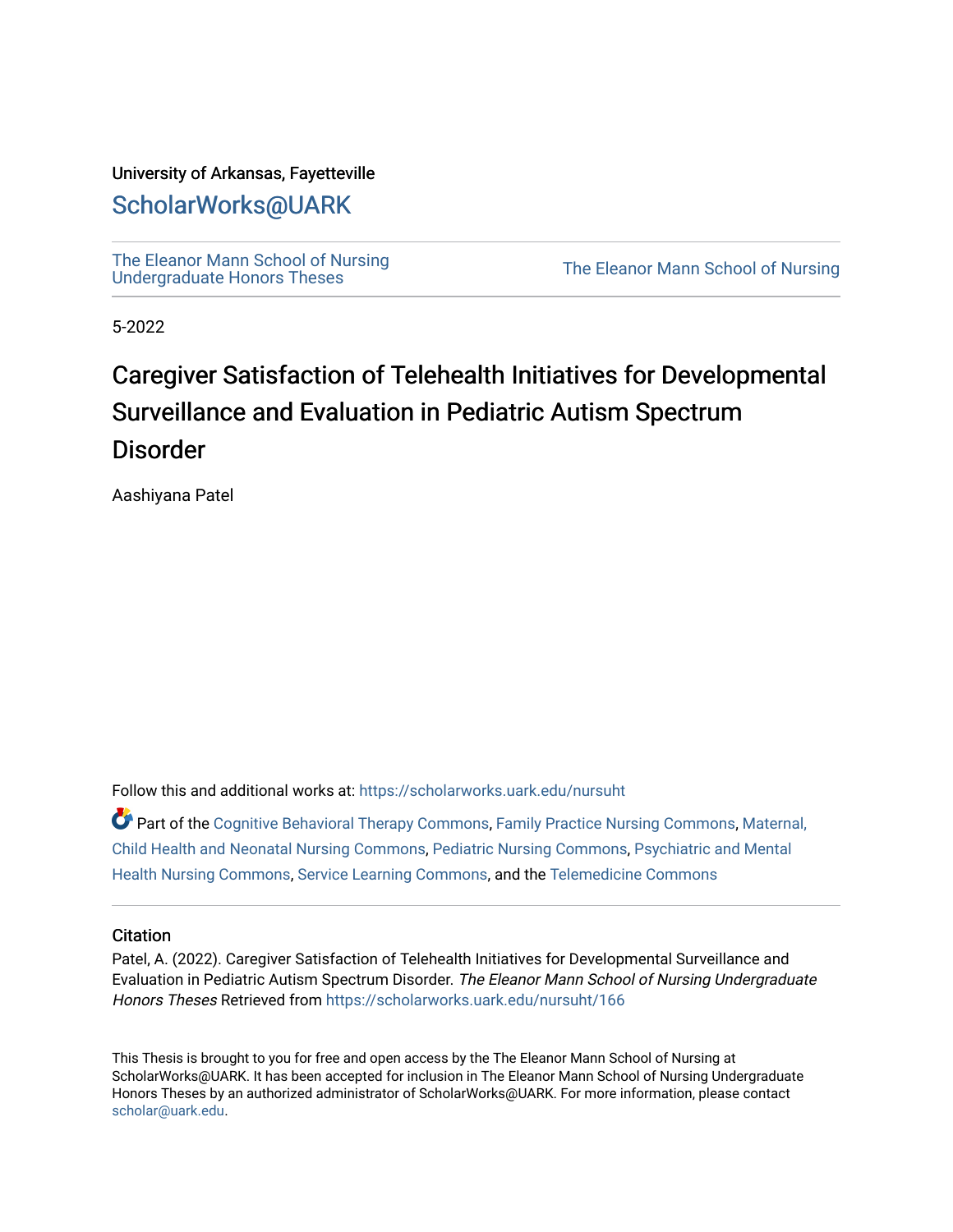# University of Arkansas, Fayetteville

# [ScholarWorks@UARK](https://scholarworks.uark.edu/)

[The Eleanor Mann School of Nursing](https://scholarworks.uark.edu/nursuht)<br>Undergraduate Honors Theses

The Eleanor Mann School of Nursing

5-2022

# Caregiver Satisfaction of Telehealth Initiatives for Developmental Surveillance and Evaluation in Pediatric Autism Spectrum Disorder

Aashiyana Patel

Follow this and additional works at: [https://scholarworks.uark.edu/nursuht](https://scholarworks.uark.edu/nursuht?utm_source=scholarworks.uark.edu%2Fnursuht%2F166&utm_medium=PDF&utm_campaign=PDFCoverPages)

Part of the [Cognitive Behavioral Therapy Commons](http://network.bepress.com/hgg/discipline/1078?utm_source=scholarworks.uark.edu%2Fnursuht%2F166&utm_medium=PDF&utm_campaign=PDFCoverPages), [Family Practice Nursing Commons,](http://network.bepress.com/hgg/discipline/720?utm_source=scholarworks.uark.edu%2Fnursuht%2F166&utm_medium=PDF&utm_campaign=PDFCoverPages) [Maternal,](http://network.bepress.com/hgg/discipline/721?utm_source=scholarworks.uark.edu%2Fnursuht%2F166&utm_medium=PDF&utm_campaign=PDFCoverPages)  [Child Health and Neonatal Nursing Commons,](http://network.bepress.com/hgg/discipline/721?utm_source=scholarworks.uark.edu%2Fnursuht%2F166&utm_medium=PDF&utm_campaign=PDFCoverPages) [Pediatric Nursing Commons](http://network.bepress.com/hgg/discipline/723?utm_source=scholarworks.uark.edu%2Fnursuht%2F166&utm_medium=PDF&utm_campaign=PDFCoverPages), [Psychiatric and Mental](http://network.bepress.com/hgg/discipline/724?utm_source=scholarworks.uark.edu%2Fnursuht%2F166&utm_medium=PDF&utm_campaign=PDFCoverPages)  [Health Nursing Commons,](http://network.bepress.com/hgg/discipline/724?utm_source=scholarworks.uark.edu%2Fnursuht%2F166&utm_medium=PDF&utm_campaign=PDFCoverPages) [Service Learning Commons](http://network.bepress.com/hgg/discipline/1024?utm_source=scholarworks.uark.edu%2Fnursuht%2F166&utm_medium=PDF&utm_campaign=PDFCoverPages), and the [Telemedicine Commons](http://network.bepress.com/hgg/discipline/1367?utm_source=scholarworks.uark.edu%2Fnursuht%2F166&utm_medium=PDF&utm_campaign=PDFCoverPages)

#### **Citation**

Patel, A. (2022). Caregiver Satisfaction of Telehealth Initiatives for Developmental Surveillance and Evaluation in Pediatric Autism Spectrum Disorder. The Eleanor Mann School of Nursing Undergraduate Honors Theses Retrieved from [https://scholarworks.uark.edu/nursuht/166](https://scholarworks.uark.edu/nursuht/166?utm_source=scholarworks.uark.edu%2Fnursuht%2F166&utm_medium=PDF&utm_campaign=PDFCoverPages) 

This Thesis is brought to you for free and open access by the The Eleanor Mann School of Nursing at ScholarWorks@UARK. It has been accepted for inclusion in The Eleanor Mann School of Nursing Undergraduate Honors Theses by an authorized administrator of ScholarWorks@UARK. For more information, please contact [scholar@uark.edu](mailto:scholar@uark.edu).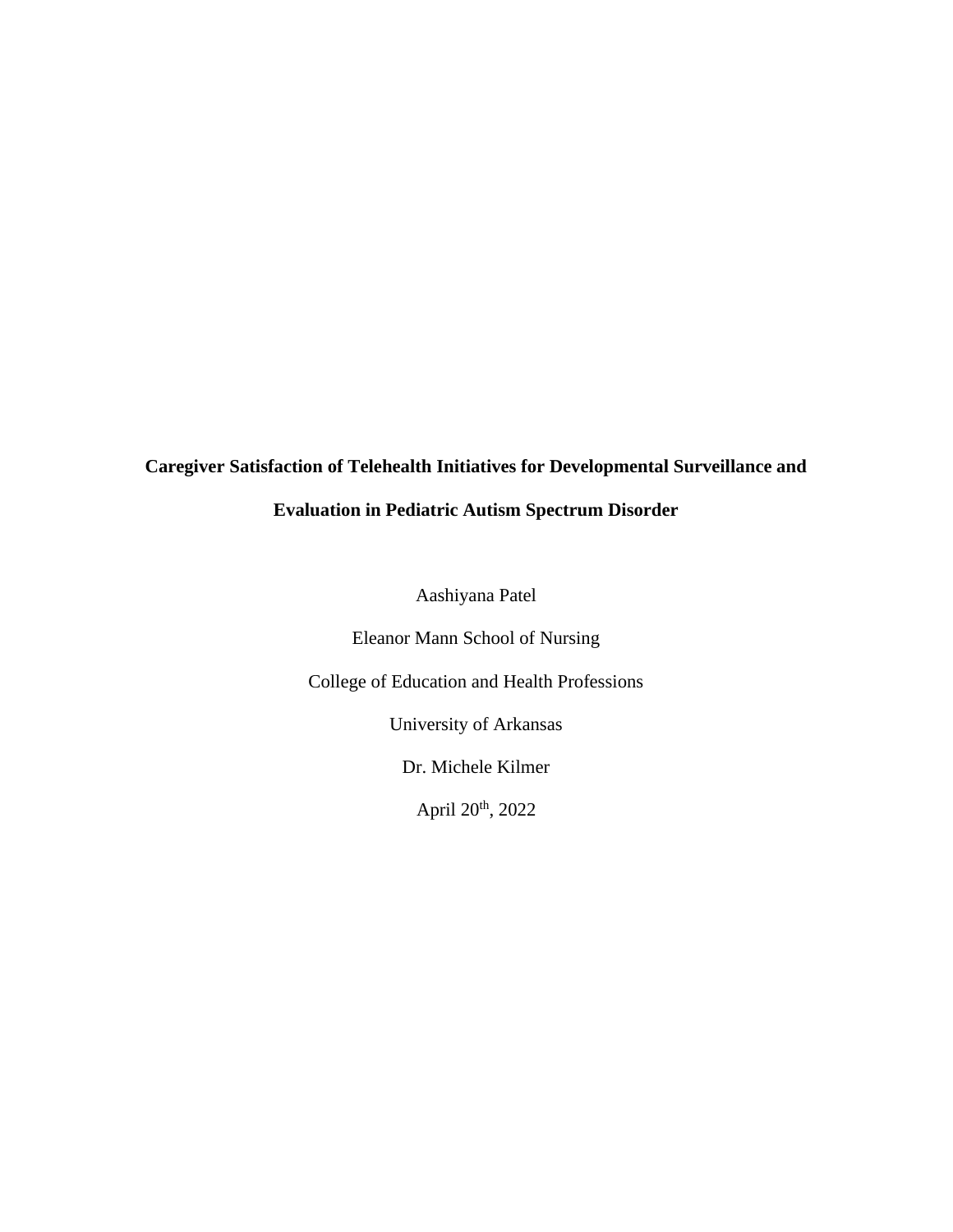# **Caregiver Satisfaction of Telehealth Initiatives for Developmental Surveillance and Evaluation in Pediatric Autism Spectrum Disorder**

Aashiyana Patel

Eleanor Mann School of Nursing

College of Education and Health Professions

University of Arkansas

Dr. Michele Kilmer

April 20th, 2022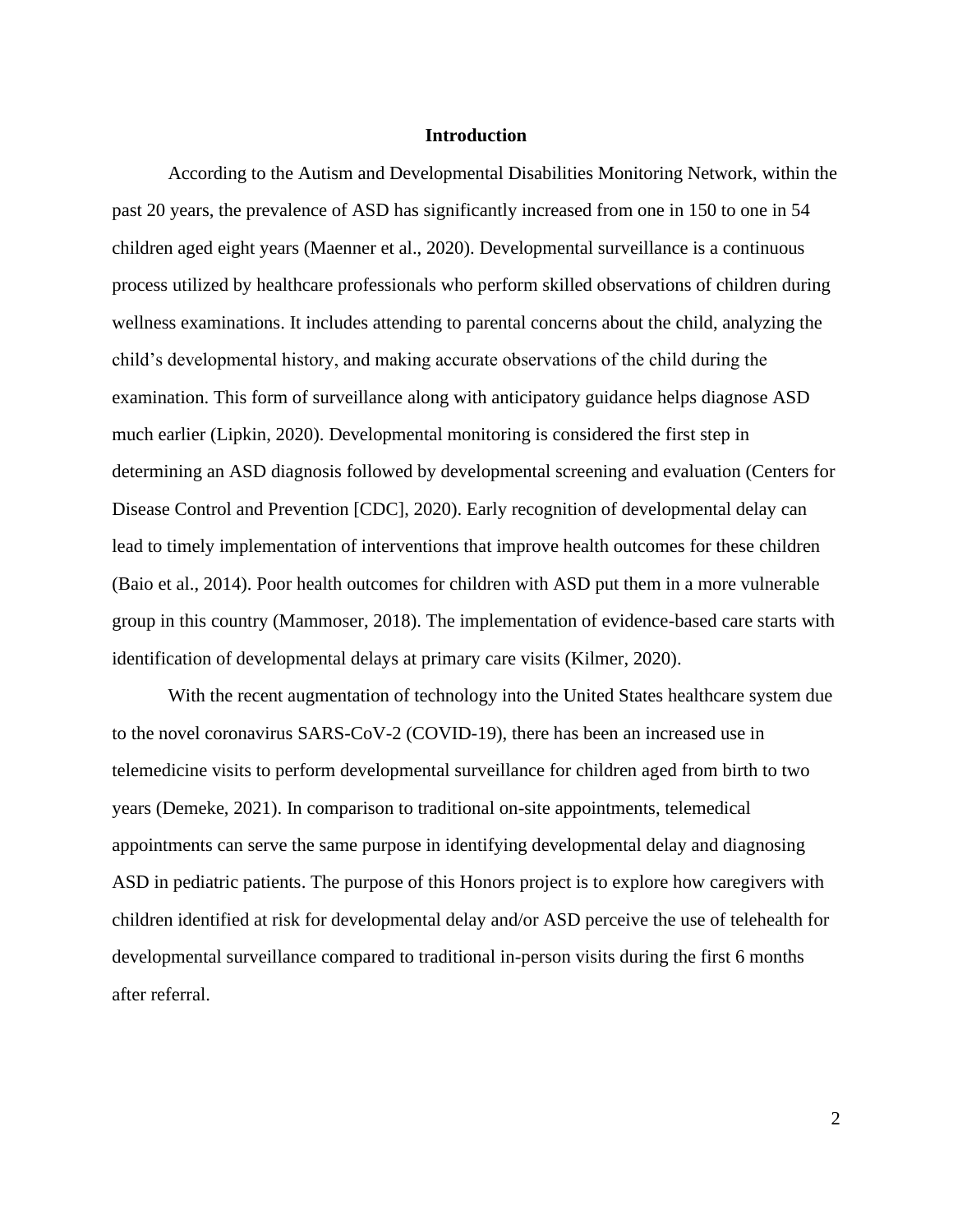### **Introduction**

 According to the Autism and Developmental Disabilities Monitoring Network, within the past 20 years, the prevalence of ASD has significantly increased from one in 150 to one in 54 children aged eight years (Maenner et al., 2020). Developmental surveillance is a continuous process utilized by healthcare professionals who perform skilled observations of children during wellness examinations. It includes attending to parental concerns about the child, analyzing the child's developmental history, and making accurate observations of the child during the examination. This form of surveillance along with anticipatory guidance helps diagnose ASD much earlier (Lipkin, 2020). Developmental monitoring is considered the first step in determining an ASD diagnosis followed by developmental screening and evaluation (Centers for Disease Control and Prevention [CDC], 2020). Early recognition of developmental delay can lead to timely implementation of interventions that improve health outcomes for these children (Baio et al., 2014). Poor health outcomes for children with ASD put them in a more vulnerable group in this country (Mammoser, 2018). The implementation of evidence-based care starts with identification of developmental delays at primary care visits (Kilmer, 2020).

 With the recent augmentation of technology into the United States healthcare system due to the novel coronavirus SARS-CoV-2 (COVID-19), there has been an increased use in telemedicine visits to perform developmental surveillance for children aged from birth to two years (Demeke, 2021). In comparison to traditional on-site appointments, telemedical appointments can serve the same purpose in identifying developmental delay and diagnosing ASD in pediatric patients. The purpose of this Honors project is to explore how caregivers with children identified at risk for developmental delay and/or ASD perceive the use of telehealth for developmental surveillance compared to traditional in-person visits during the first 6 months after referral.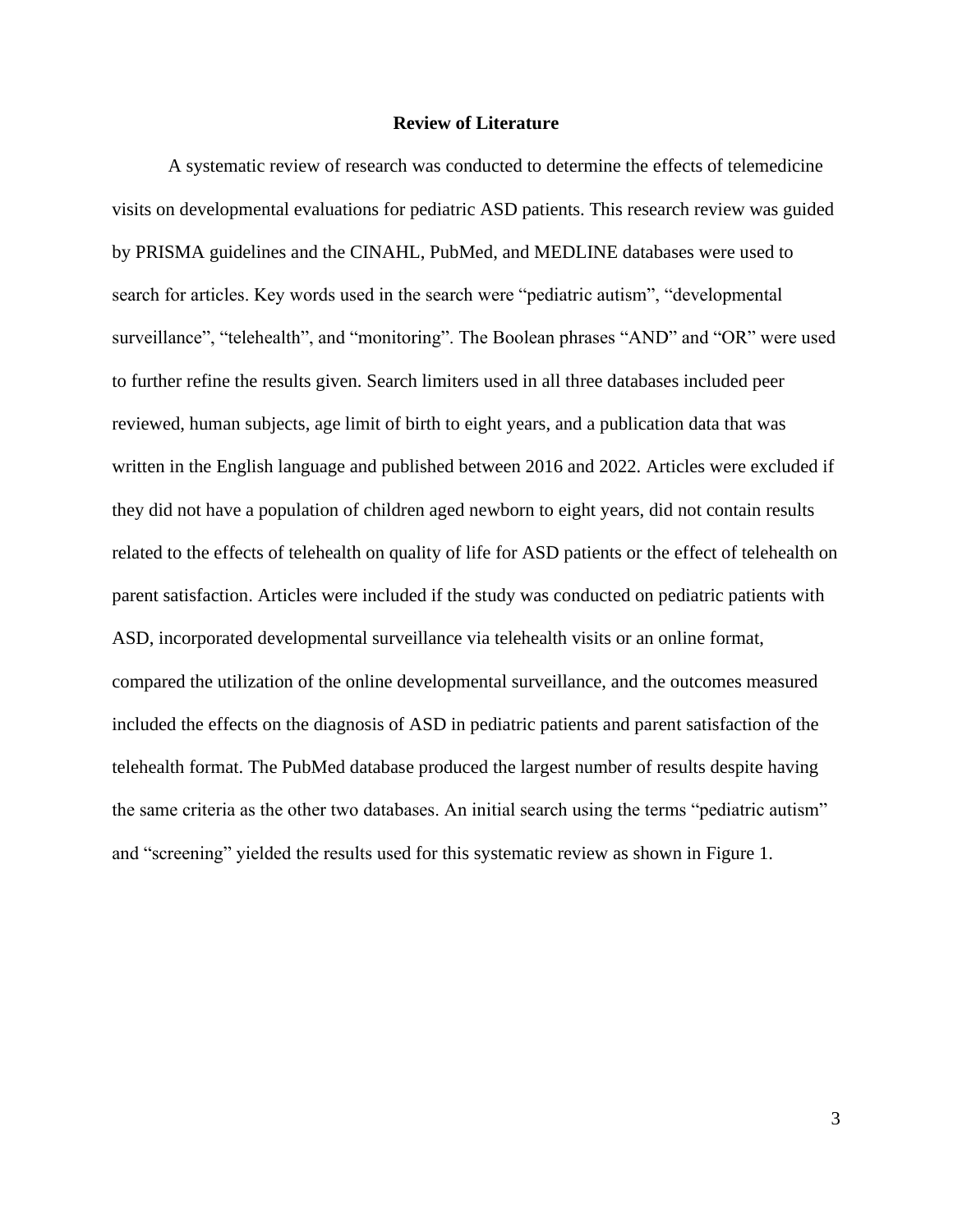### **Review of Literature**

A systematic review of research was conducted to determine the effects of telemedicine visits on developmental evaluations for pediatric ASD patients. This research review was guided by PRISMA guidelines and the CINAHL, PubMed, and MEDLINE databases were used to search for articles. Key words used in the search were "pediatric autism", "developmental surveillance", "telehealth", and "monitoring". The Boolean phrases "AND" and "OR" were used to further refine the results given. Search limiters used in all three databases included peer reviewed, human subjects, age limit of birth to eight years, and a publication data that was written in the English language and published between 2016 and 2022. Articles were excluded if they did not have a population of children aged newborn to eight years, did not contain results related to the effects of telehealth on quality of life for ASD patients or the effect of telehealth on parent satisfaction. Articles were included if the study was conducted on pediatric patients with ASD, incorporated developmental surveillance via telehealth visits or an online format, compared the utilization of the online developmental surveillance, and the outcomes measured included the effects on the diagnosis of ASD in pediatric patients and parent satisfaction of the telehealth format. The PubMed database produced the largest number of results despite having the same criteria as the other two databases. An initial search using the terms "pediatric autism" and "screening" yielded the results used for this systematic review as shown in Figure 1.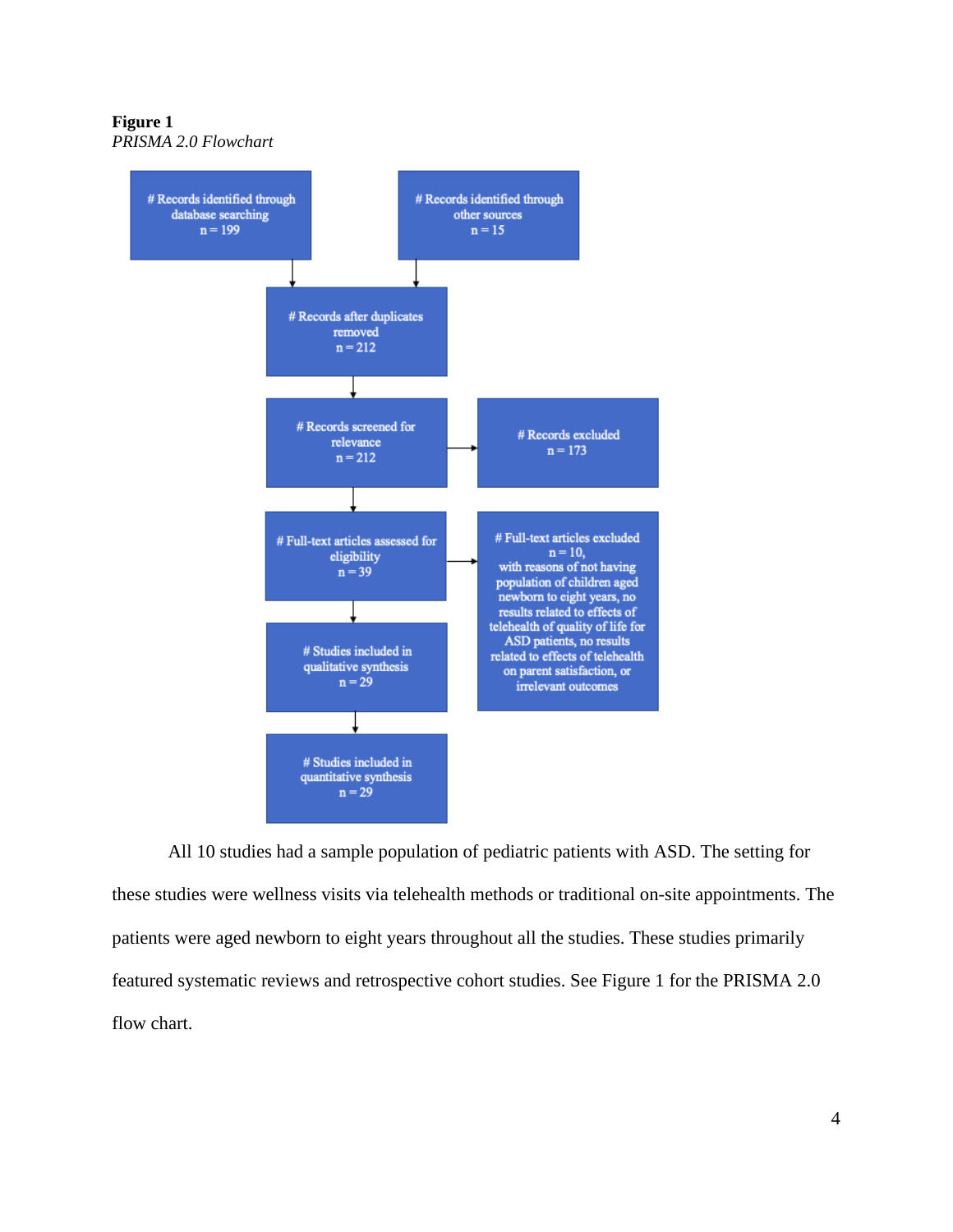**Figure 1** *PRISMA 2.0 Flowchart*



All 10 studies had a sample population of pediatric patients with ASD. The setting for these studies were wellness visits via telehealth methods or traditional on-site appointments. The patients were aged newborn to eight years throughout all the studies. These studies primarily featured systematic reviews and retrospective cohort studies. See Figure 1 for the PRISMA 2.0 flow chart.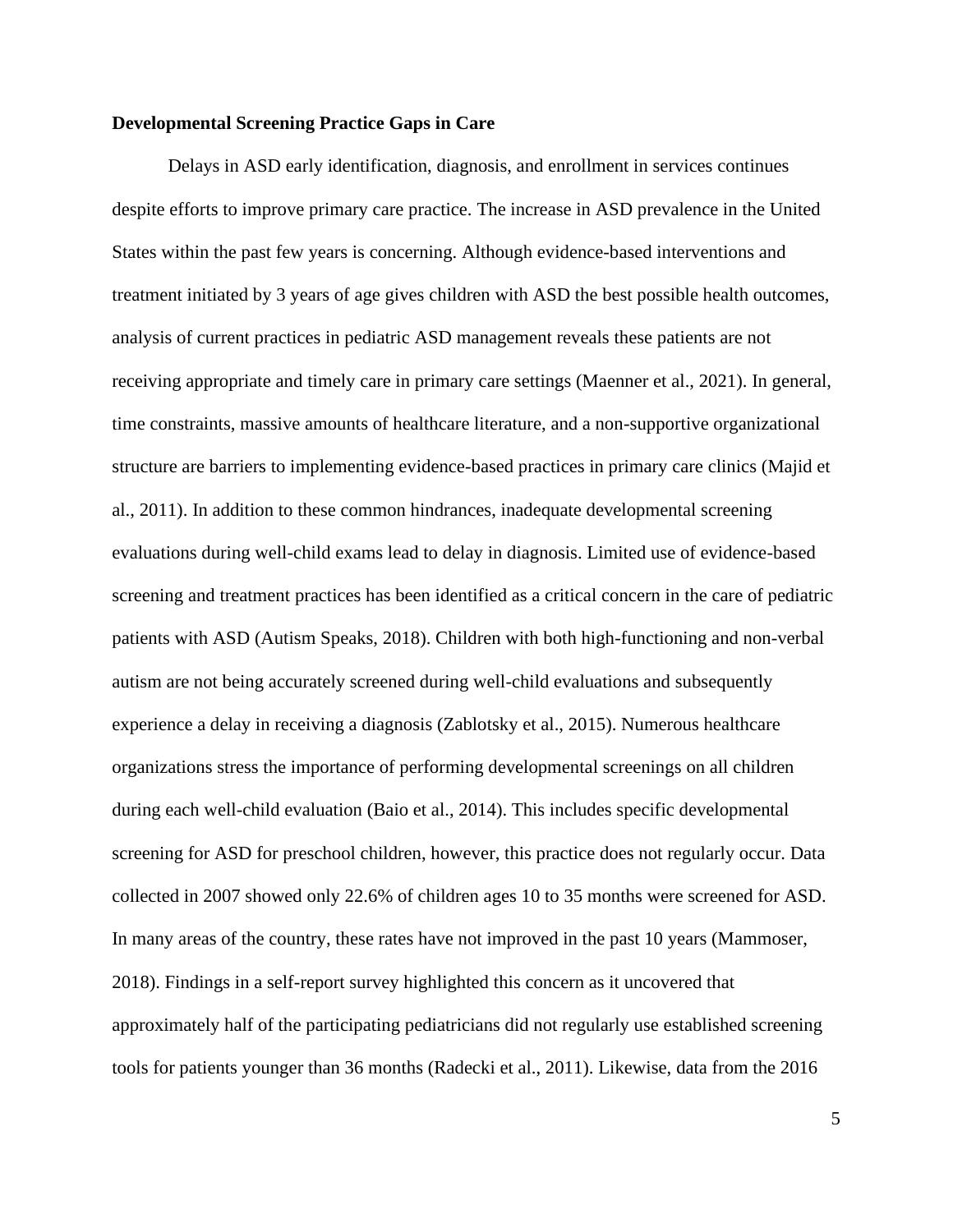### **Developmental Screening Practice Gaps in Care**

Delays in ASD early identification, diagnosis, and enrollment in services continues despite efforts to improve primary care practice. The increase in ASD prevalence in the United States within the past few years is concerning. Although evidence-based interventions and treatment initiated by 3 years of age gives children with ASD the best possible health outcomes, analysis of current practices in pediatric ASD management reveals these patients are not receiving appropriate and timely care in primary care settings (Maenner et al., 2021). In general, time constraints, massive amounts of healthcare literature, and a non-supportive organizational structure are barriers to implementing evidence-based practices in primary care clinics (Majid et al., 2011). In addition to these common hindrances, inadequate developmental screening evaluations during well-child exams lead to delay in diagnosis. Limited use of evidence-based screening and treatment practices has been identified as a critical concern in the care of pediatric patients with ASD (Autism Speaks, 2018). Children with both high-functioning and non-verbal autism are not being accurately screened during well-child evaluations and subsequently experience a delay in receiving a diagnosis (Zablotsky et al., 2015). Numerous healthcare organizations stress the importance of performing developmental screenings on all children during each well-child evaluation (Baio et al., 2014). This includes specific developmental screening for ASD for preschool children, however, this practice does not regularly occur. Data collected in 2007 showed only 22.6% of children ages 10 to 35 months were screened for ASD. In many areas of the country, these rates have not improved in the past 10 years (Mammoser, 2018). Findings in a self-report survey highlighted this concern as it uncovered that approximately half of the participating pediatricians did not regularly use established screening tools for patients younger than 36 months (Radecki et al., 2011). Likewise, data from the 2016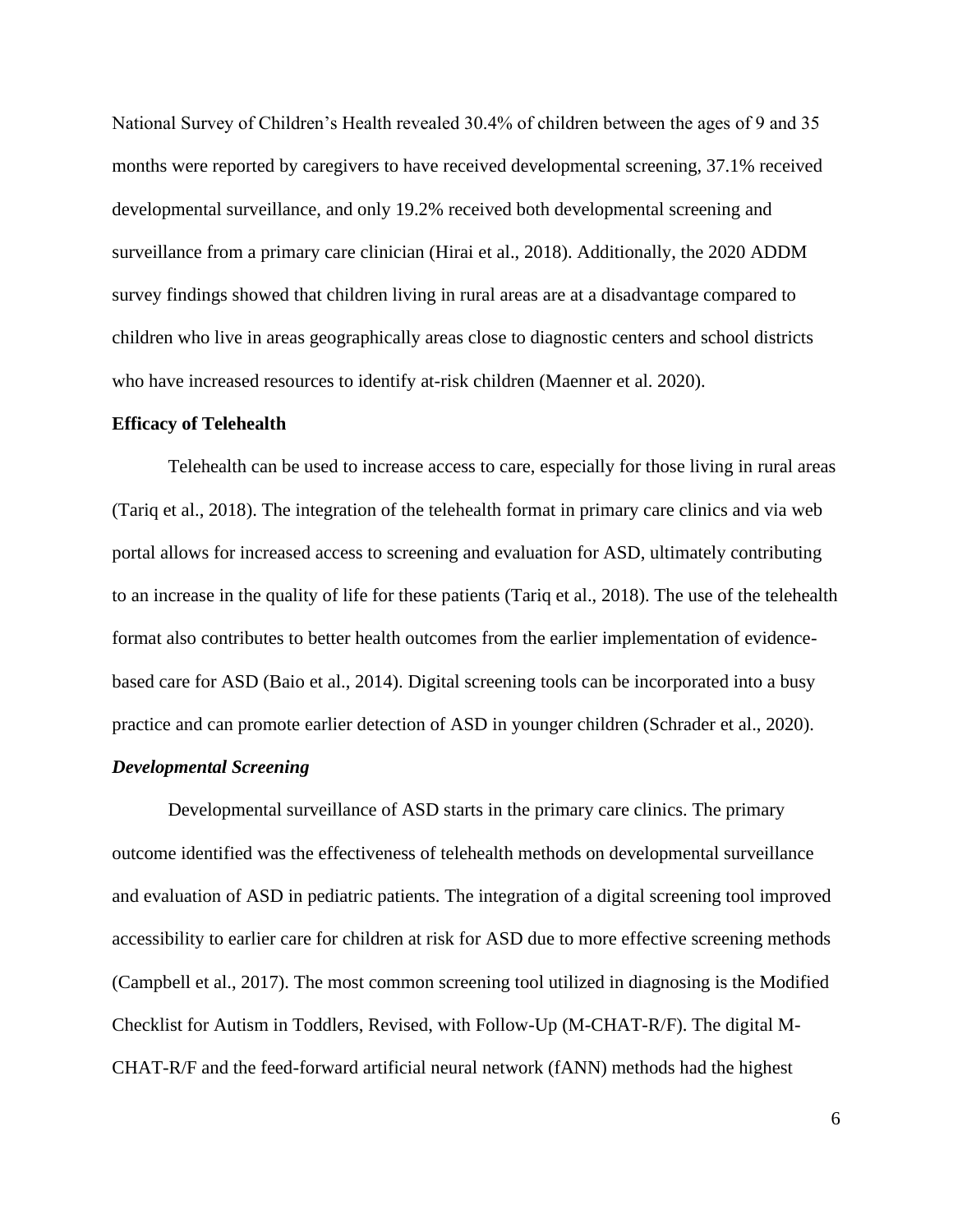National Survey of Children's Health revealed 30.4% of children between the ages of 9 and 35 months were reported by caregivers to have received developmental screening, 37.1% received developmental surveillance, and only 19.2% received both developmental screening and surveillance from a primary care clinician (Hirai et al., 2018). Additionally, the 2020 ADDM survey findings showed that children living in rural areas are at a disadvantage compared to children who live in areas geographically areas close to diagnostic centers and school districts who have increased resources to identify at-risk children (Maenner et al. 2020).

#### **Efficacy of Telehealth**

Telehealth can be used to increase access to care, especially for those living in rural areas (Tariq et al., 2018). The integration of the telehealth format in primary care clinics and via web portal allows for increased access to screening and evaluation for ASD, ultimately contributing to an increase in the quality of life for these patients (Tariq et al., 2018). The use of the telehealth format also contributes to better health outcomes from the earlier implementation of evidencebased care for ASD (Baio et al., 2014). Digital screening tools can be incorporated into a busy practice and can promote earlier detection of ASD in younger children (Schrader et al., 2020).

### *Developmental Screening*

 Developmental surveillance of ASD starts in the primary care clinics. The primary outcome identified was the effectiveness of telehealth methods on developmental surveillance and evaluation of ASD in pediatric patients. The integration of a digital screening tool improved accessibility to earlier care for children at risk for ASD due to more effective screening methods (Campbell et al., 2017). The most common screening tool utilized in diagnosing is the Modified Checklist for Autism in Toddlers, Revised, with Follow-Up (M-CHAT-R/F). The digital M-CHAT-R/F and the feed-forward artificial neural network (fANN) methods had the highest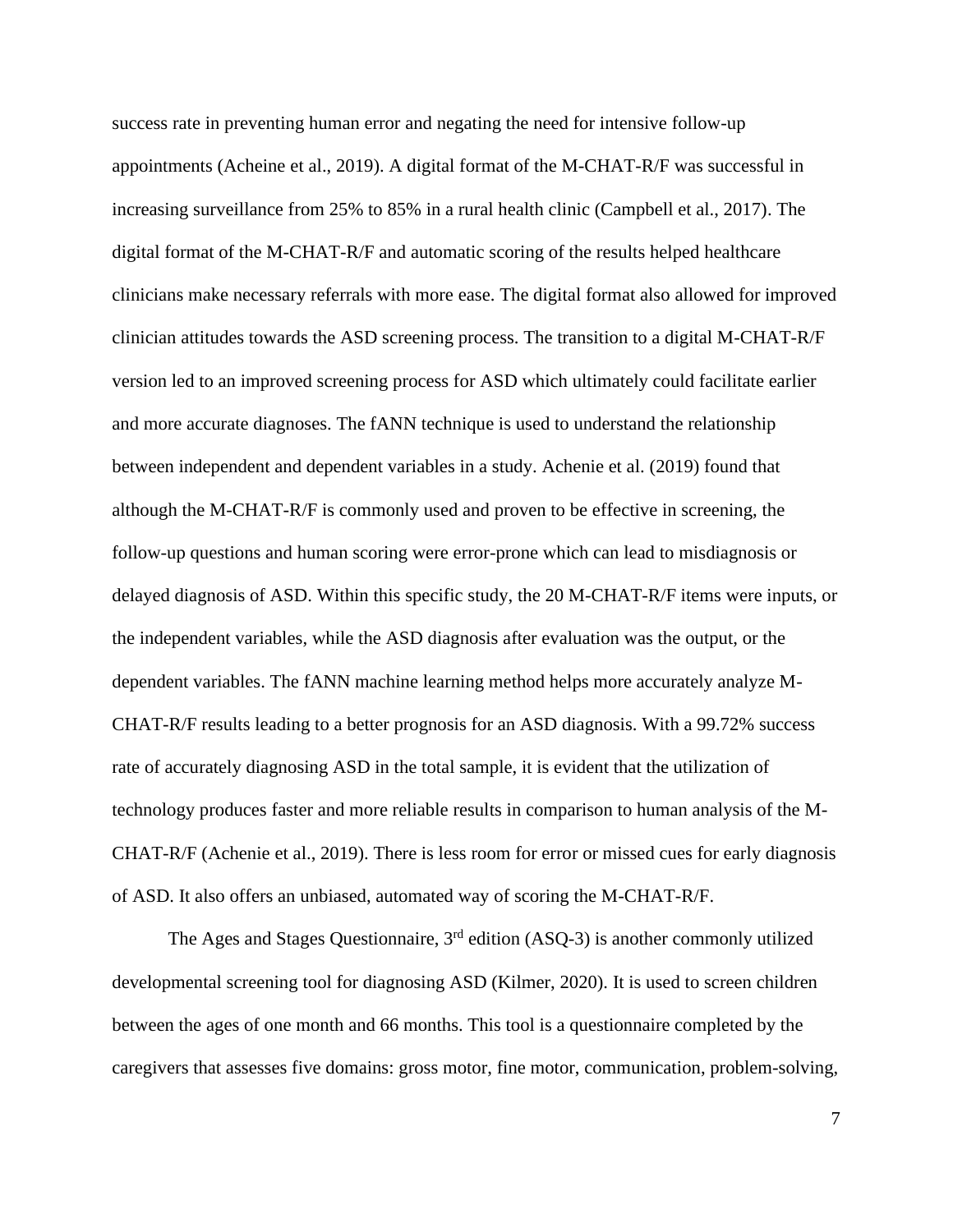success rate in preventing human error and negating the need for intensive follow-up appointments (Acheine et al., 2019). A digital format of the M-CHAT-R/F was successful in increasing surveillance from 25% to 85% in a rural health clinic (Campbell et al., 2017). The digital format of the M-CHAT-R/F and automatic scoring of the results helped healthcare clinicians make necessary referrals with more ease. The digital format also allowed for improved clinician attitudes towards the ASD screening process. The transition to a digital M-CHAT-R/F version led to an improved screening process for ASD which ultimately could facilitate earlier and more accurate diagnoses. The fANN technique is used to understand the relationship between independent and dependent variables in a study. Achenie et al. (2019) found that although the M-CHAT-R/F is commonly used and proven to be effective in screening, the follow-up questions and human scoring were error-prone which can lead to misdiagnosis or delayed diagnosis of ASD. Within this specific study, the 20 M-CHAT-R/F items were inputs, or the independent variables, while the ASD diagnosis after evaluation was the output, or the dependent variables. The fANN machine learning method helps more accurately analyze M-CHAT-R/F results leading to a better prognosis for an ASD diagnosis. With a 99.72% success rate of accurately diagnosing ASD in the total sample, it is evident that the utilization of technology produces faster and more reliable results in comparison to human analysis of the M-CHAT-R/F (Achenie et al., 2019). There is less room for error or missed cues for early diagnosis of ASD. It also offers an unbiased, automated way of scoring the M-CHAT-R/F.

The Ages and Stages Questionnaire,  $3<sup>rd</sup>$  edition (ASQ-3) is another commonly utilized developmental screening tool for diagnosing ASD (Kilmer, 2020). It is used to screen children between the ages of one month and 66 months. This tool is a questionnaire completed by the caregivers that assesses five domains: gross motor, fine motor, communication, problem-solving,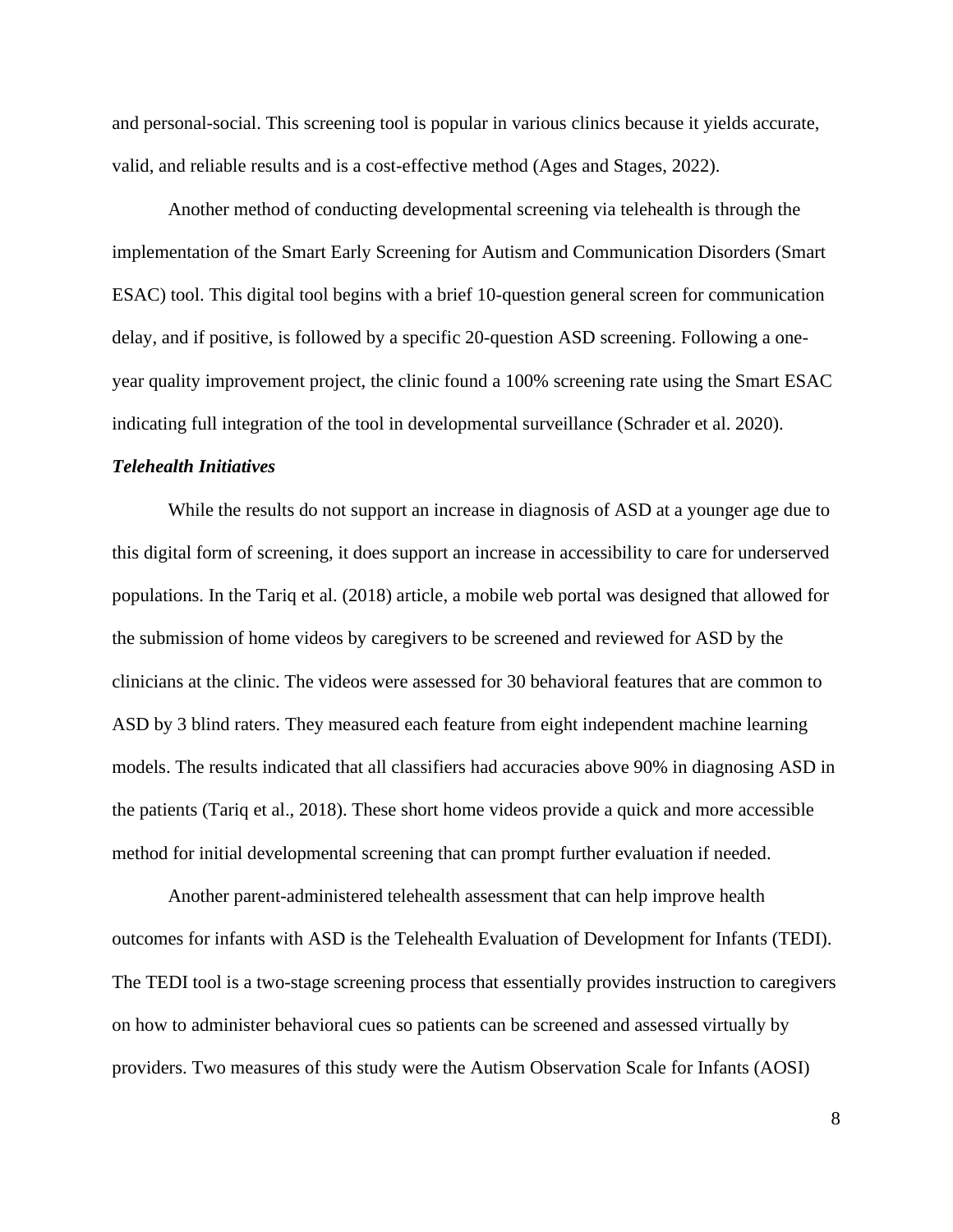and personal-social. This screening tool is popular in various clinics because it yields accurate, valid, and reliable results and is a cost-effective method (Ages and Stages, 2022).

Another method of conducting developmental screening via telehealth is through the implementation of the Smart Early Screening for Autism and Communication Disorders (Smart ESAC) tool. This digital tool begins with a brief 10-question general screen for communication delay, and if positive, is followed by a specific 20-question ASD screening. Following a oneyear quality improvement project, the clinic found a 100% screening rate using the Smart ESAC indicating full integration of the tool in developmental surveillance (Schrader et al. 2020).

### *Telehealth Initiatives*

While the results do not support an increase in diagnosis of ASD at a younger age due to this digital form of screening, it does support an increase in accessibility to care for underserved populations. In the Tariq et al. (2018) article, a mobile web portal was designed that allowed for the submission of home videos by caregivers to be screened and reviewed for ASD by the clinicians at the clinic. The videos were assessed for 30 behavioral features that are common to ASD by 3 blind raters. They measured each feature from eight independent machine learning models. The results indicated that all classifiers had accuracies above 90% in diagnosing ASD in the patients (Tariq et al., 2018). These short home videos provide a quick and more accessible method for initial developmental screening that can prompt further evaluation if needed.

Another parent-administered telehealth assessment that can help improve health outcomes for infants with ASD is the Telehealth Evaluation of Development for Infants (TEDI). The TEDI tool is a two-stage screening process that essentially provides instruction to caregivers on how to administer behavioral cues so patients can be screened and assessed virtually by providers. Two measures of this study were the Autism Observation Scale for Infants (AOSI)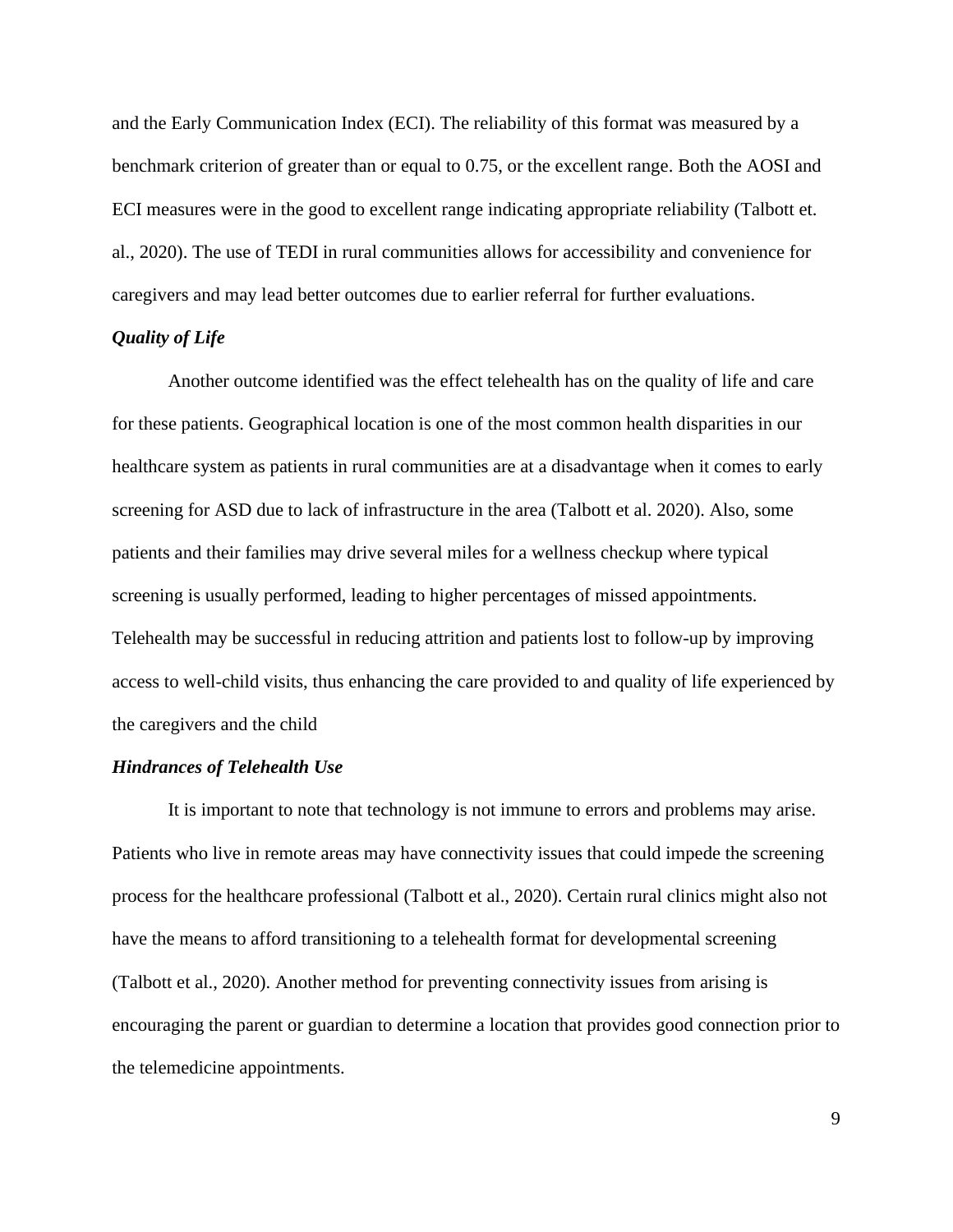and the Early Communication Index (ECI). The reliability of this format was measured by a benchmark criterion of greater than or equal to 0.75, or the excellent range. Both the AOSI and ECI measures were in the good to excellent range indicating appropriate reliability (Talbott et. al., 2020). The use of TEDI in rural communities allows for accessibility and convenience for caregivers and may lead better outcomes due to earlier referral for further evaluations.

### *Quality of Life*

Another outcome identified was the effect telehealth has on the quality of life and care for these patients. Geographical location is one of the most common health disparities in our healthcare system as patients in rural communities are at a disadvantage when it comes to early screening for ASD due to lack of infrastructure in the area (Talbott et al. 2020). Also, some patients and their families may drive several miles for a wellness checkup where typical screening is usually performed, leading to higher percentages of missed appointments. Telehealth may be successful in reducing attrition and patients lost to follow-up by improving access to well-child visits, thus enhancing the care provided to and quality of life experienced by the caregivers and the child

#### *Hindrances of Telehealth Use*

It is important to note that technology is not immune to errors and problems may arise. Patients who live in remote areas may have connectivity issues that could impede the screening process for the healthcare professional (Talbott et al., 2020). Certain rural clinics might also not have the means to afford transitioning to a telehealth format for developmental screening (Talbott et al., 2020). Another method for preventing connectivity issues from arising is encouraging the parent or guardian to determine a location that provides good connection prior to the telemedicine appointments.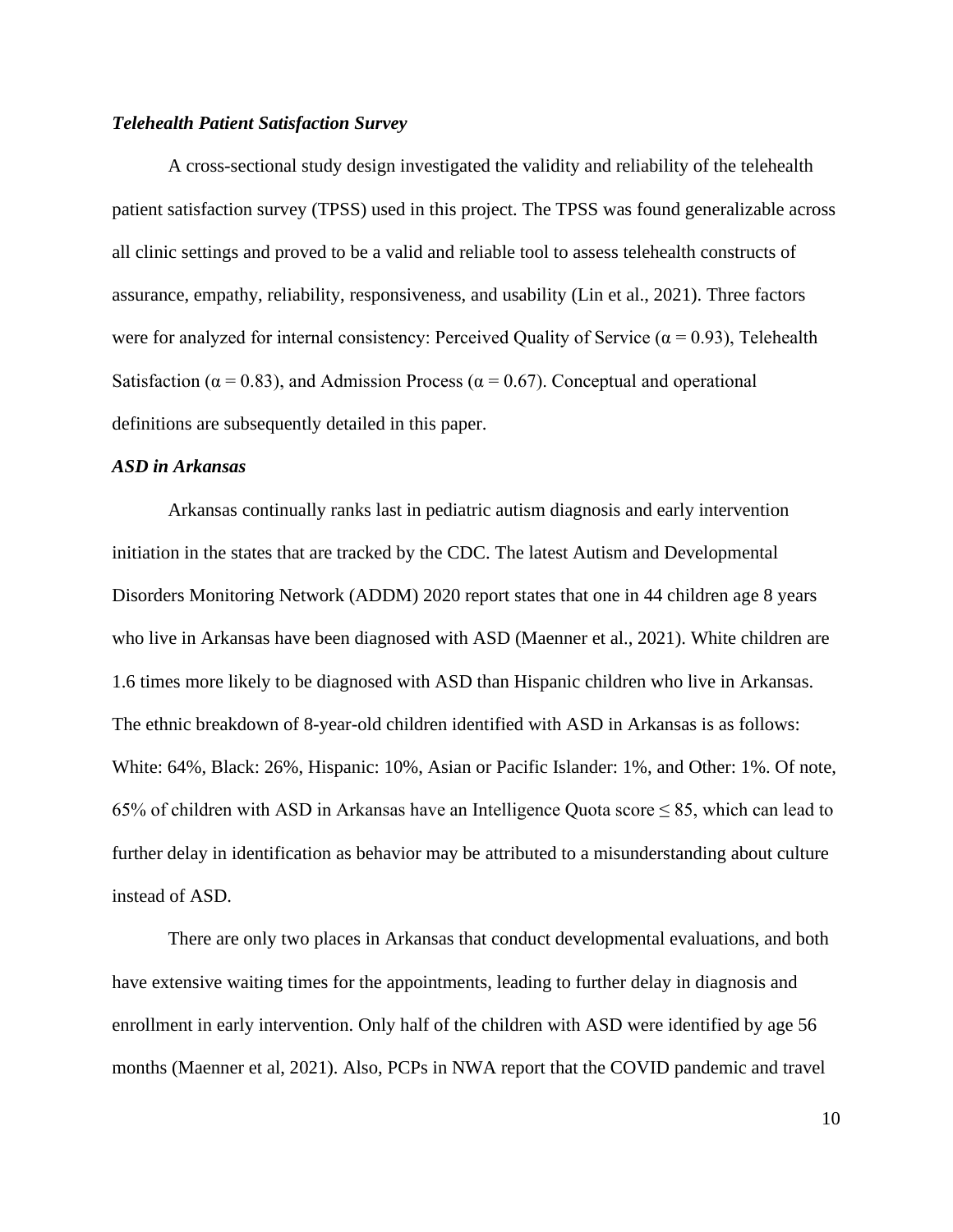#### *Telehealth Patient Satisfaction Survey*

A cross-sectional study design investigated the validity and reliability of the telehealth patient satisfaction survey (TPSS) used in this project. The TPSS was found generalizable across all clinic settings and proved to be a valid and reliable tool to assess telehealth constructs of assurance, empathy, reliability, responsiveness, and usability (Lin et al., 2021). Three factors were for analyzed for internal consistency: Perceived Quality of Service ( $\alpha$  = 0.93), Telehealth Satisfaction ( $\alpha$  = 0.83), and Admission Process ( $\alpha$  = 0.67). Conceptual and operational definitions are subsequently detailed in this paper.

### *ASD in Arkansas*

Arkansas continually ranks last in pediatric autism diagnosis and early intervention initiation in the states that are tracked by the CDC. The latest Autism and Developmental Disorders Monitoring Network (ADDM) 2020 report states that one in 44 children age 8 years who live in Arkansas have been diagnosed with ASD (Maenner et al., 2021). White children are 1.6 times more likely to be diagnosed with ASD than Hispanic children who live in Arkansas. The ethnic breakdown of 8-year-old children identified with ASD in Arkansas is as follows: White: 64%, Black: 26%, Hispanic: 10%, Asian or Pacific Islander: 1%, and Other: 1%. Of note, 65% of children with ASD in Arkansas have an Intelligence Quota score  $\leq 85$ , which can lead to further delay in identification as behavior may be attributed to a misunderstanding about culture instead of ASD.

There are only two places in Arkansas that conduct developmental evaluations, and both have extensive waiting times for the appointments, leading to further delay in diagnosis and enrollment in early intervention. Only half of the children with ASD were identified by age 56 months (Maenner et al, 2021). Also, PCPs in NWA report that the COVID pandemic and travel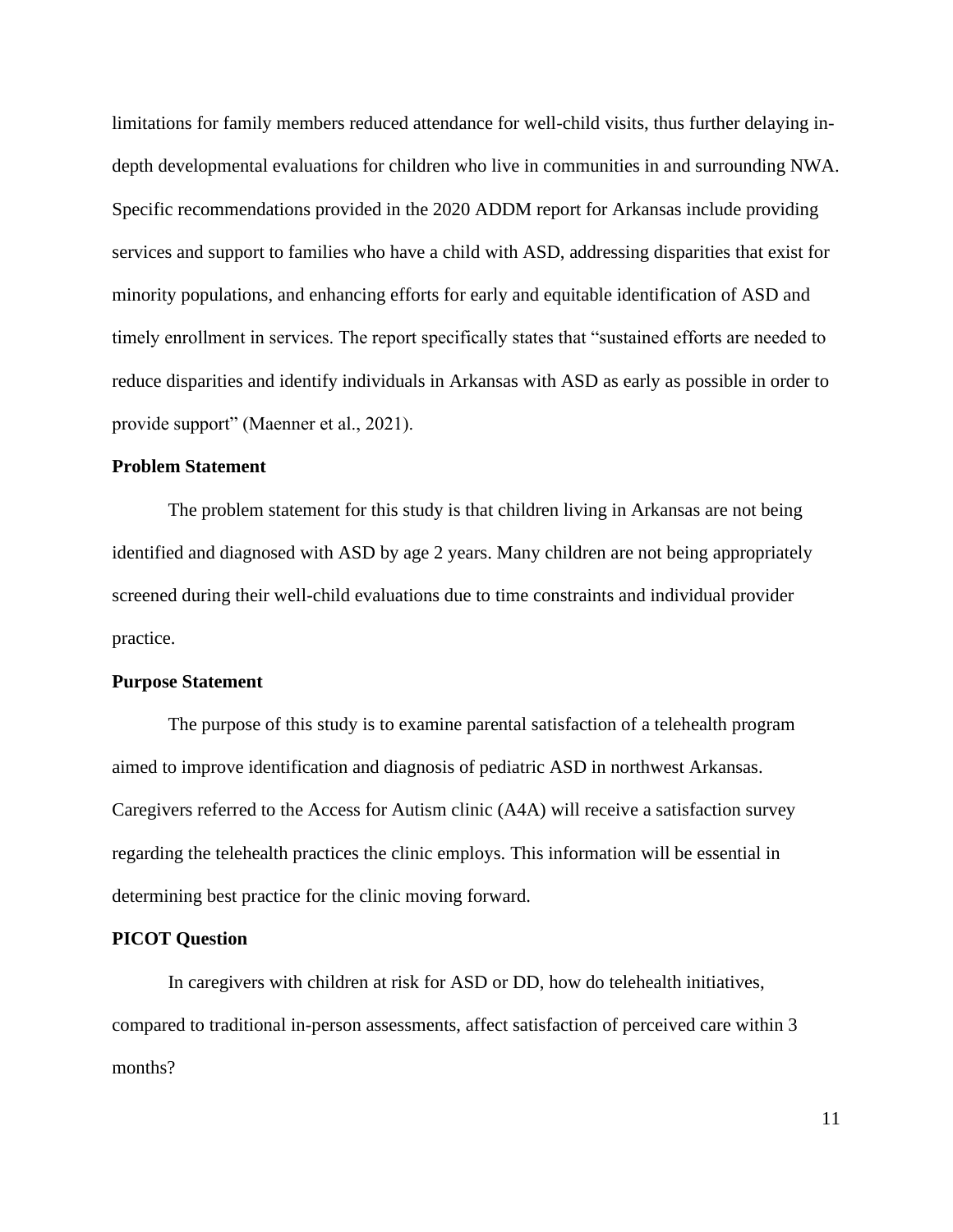limitations for family members reduced attendance for well-child visits, thus further delaying indepth developmental evaluations for children who live in communities in and surrounding NWA. Specific recommendations provided in the 2020 ADDM report for Arkansas include providing services and support to families who have a child with ASD, addressing disparities that exist for minority populations, and enhancing efforts for early and equitable identification of ASD and timely enrollment in services. The report specifically states that "sustained efforts are needed to reduce disparities and identify individuals in Arkansas with ASD as early as possible in order to provide support" (Maenner et al., 2021).

### **Problem Statement**

The problem statement for this study is that children living in Arkansas are not being identified and diagnosed with ASD by age 2 years. Many children are not being appropriately screened during their well-child evaluations due to time constraints and individual provider practice.

#### **Purpose Statement**

The purpose of this study is to examine parental satisfaction of a telehealth program aimed to improve identification and diagnosis of pediatric ASD in northwest Arkansas. Caregivers referred to the Access for Autism clinic (A4A) will receive a satisfaction survey regarding the telehealth practices the clinic employs. This information will be essential in determining best practice for the clinic moving forward.

#### **PICOT Question**

In caregivers with children at risk for ASD or DD, how do telehealth initiatives, compared to traditional in-person assessments, affect satisfaction of perceived care within 3 months?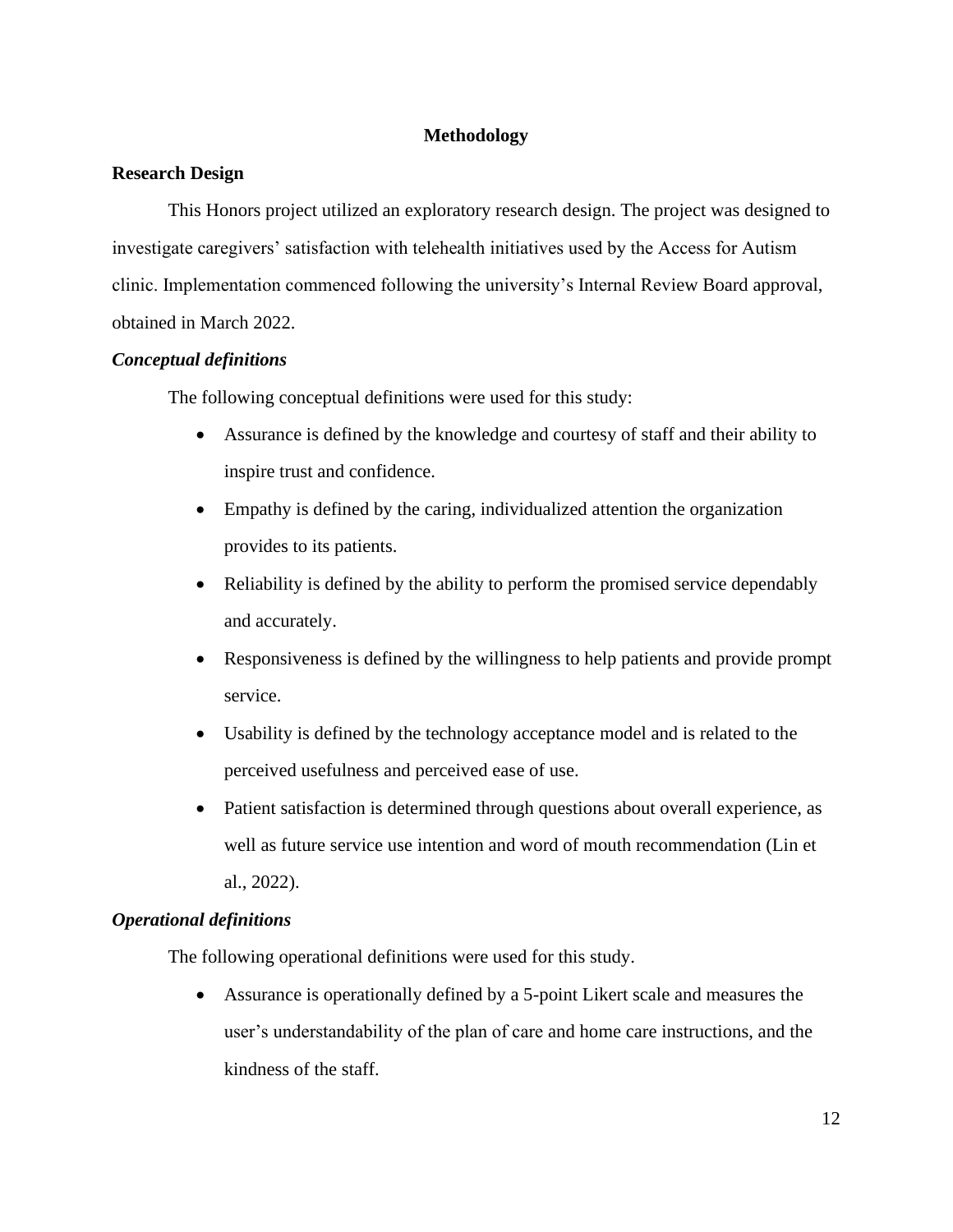# **Methodology**

## **Research Design**

This Honors project utilized an exploratory research design. The project was designed to investigate caregivers' satisfaction with telehealth initiatives used by the Access for Autism clinic. Implementation commenced following the university's Internal Review Board approval, obtained in March 2022.

### *Conceptual definitions*

The following conceptual definitions were used for this study:

- Assurance is defined by the knowledge and courtesy of staff and their ability to inspire trust and confidence.
- Empathy is defined by the caring, individualized attention the organization provides to its patients.
- Reliability is defined by the ability to perform the promised service dependably and accurately.
- Responsiveness is defined by the willingness to help patients and provide prompt service.
- Usability is defined by the technology acceptance model and is related to the perceived usefulness and perceived ease of use.
- Patient satisfaction is determined through questions about overall experience, as well as future service use intention and word of mouth recommendation (Lin et al., 2022).

# *Operational definitions*

The following operational definitions were used for this study.

• Assurance is operationally defined by a 5-point Likert scale and measures the user's understandability of the plan of care and home care instructions, and the kindness of the staff.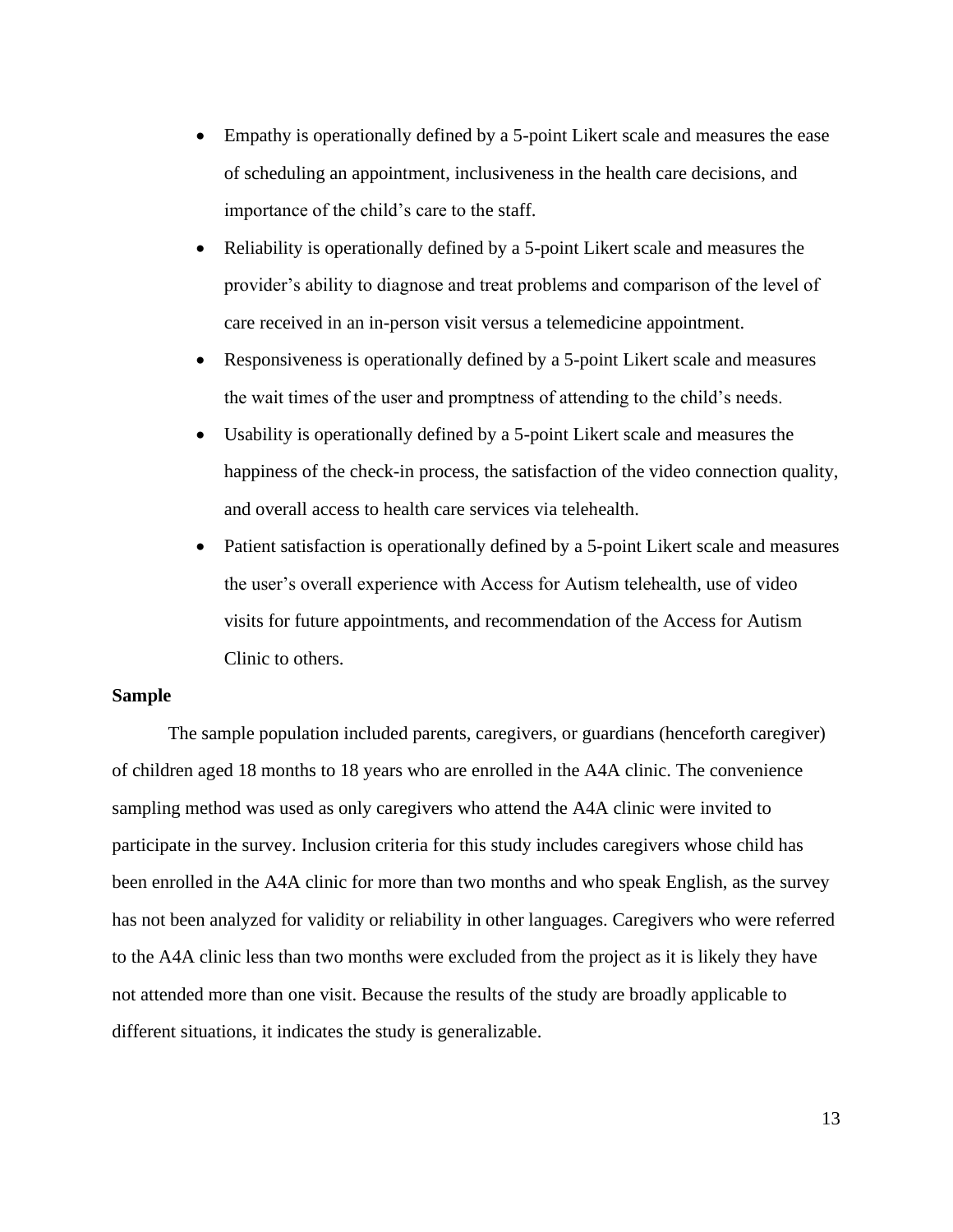- Empathy is operationally defined by a 5-point Likert scale and measures the ease of scheduling an appointment, inclusiveness in the health care decisions, and importance of the child's care to the staff.
- Reliability is operationally defined by a 5-point Likert scale and measures the provider's ability to diagnose and treat problems and comparison of the level of care received in an in-person visit versus a telemedicine appointment.
- Responsiveness is operationally defined by a 5-point Likert scale and measures the wait times of the user and promptness of attending to the child's needs.
- Usability is operationally defined by a 5-point Likert scale and measures the happiness of the check-in process, the satisfaction of the video connection quality, and overall access to health care services via telehealth.
- Patient satisfaction is operationally defined by a 5-point Likert scale and measures the user's overall experience with Access for Autism telehealth, use of video visits for future appointments, and recommendation of the Access for Autism Clinic to others.

### **Sample**

The sample population included parents, caregivers, or guardians (henceforth caregiver) of children aged 18 months to 18 years who are enrolled in the A4A clinic. The convenience sampling method was used as only caregivers who attend the A4A clinic were invited to participate in the survey. Inclusion criteria for this study includes caregivers whose child has been enrolled in the A4A clinic for more than two months and who speak English, as the survey has not been analyzed for validity or reliability in other languages. Caregivers who were referred to the A4A clinic less than two months were excluded from the project as it is likely they have not attended more than one visit. Because the results of the study are broadly applicable to different situations, it indicates the study is generalizable.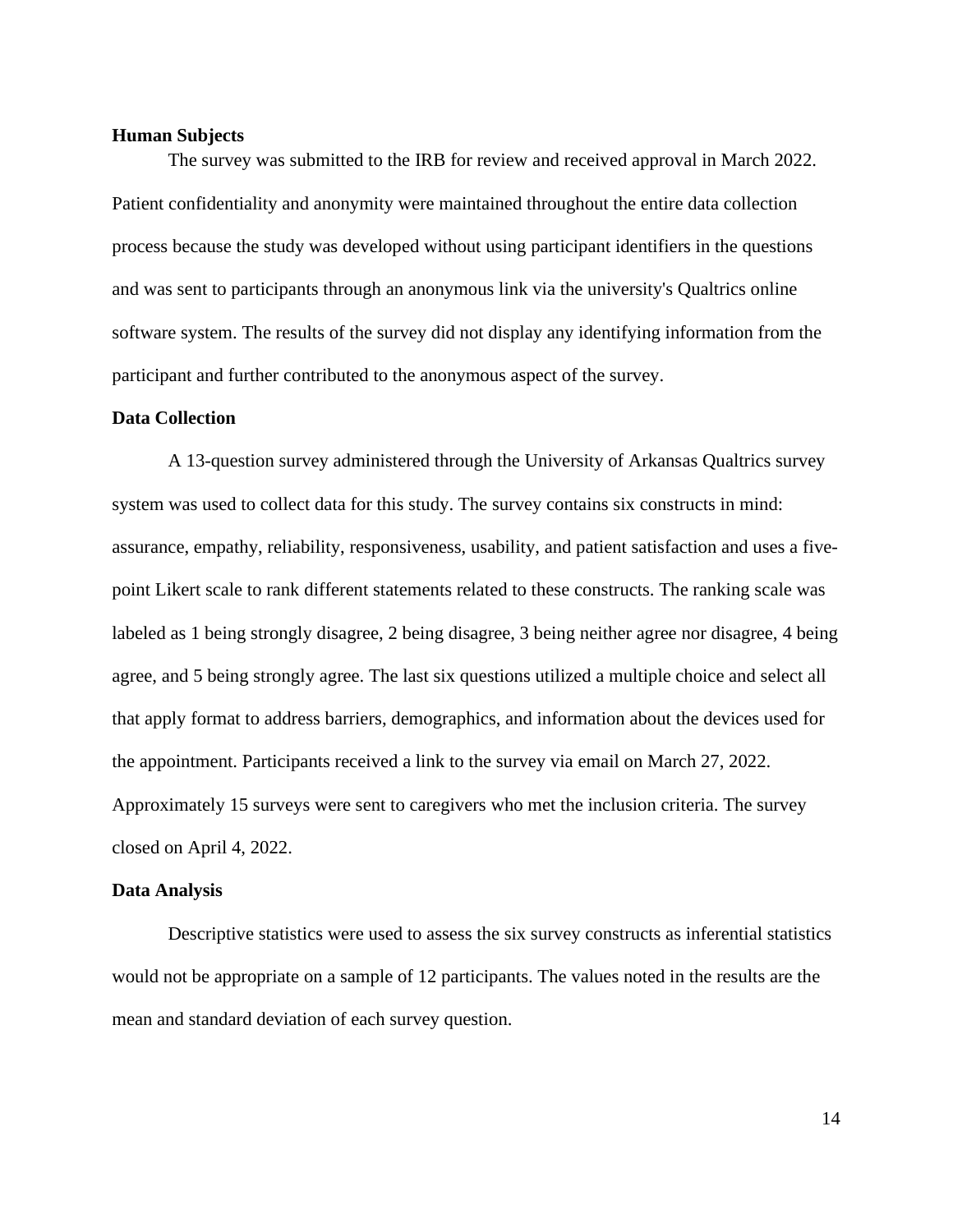#### **Human Subjects**

The survey was submitted to the IRB for review and received approval in March 2022. Patient confidentiality and anonymity were maintained throughout the entire data collection process because the study was developed without using participant identifiers in the questions and was sent to participants through an anonymous link via the university's Qualtrics online software system. The results of the survey did not display any identifying information from the participant and further contributed to the anonymous aspect of the survey.

#### **Data Collection**

A 13-question survey administered through the University of Arkansas Qualtrics survey system was used to collect data for this study. The survey contains six constructs in mind: assurance, empathy, reliability, responsiveness, usability, and patient satisfaction and uses a fivepoint Likert scale to rank different statements related to these constructs. The ranking scale was labeled as 1 being strongly disagree, 2 being disagree, 3 being neither agree nor disagree, 4 being agree, and 5 being strongly agree. The last six questions utilized a multiple choice and select all that apply format to address barriers, demographics, and information about the devices used for the appointment. Participants received a link to the survey via email on March 27, 2022. Approximately 15 surveys were sent to caregivers who met the inclusion criteria. The survey closed on April 4, 2022.

#### **Data Analysis**

Descriptive statistics were used to assess the six survey constructs as inferential statistics would not be appropriate on a sample of 12 participants. The values noted in the results are the mean and standard deviation of each survey question.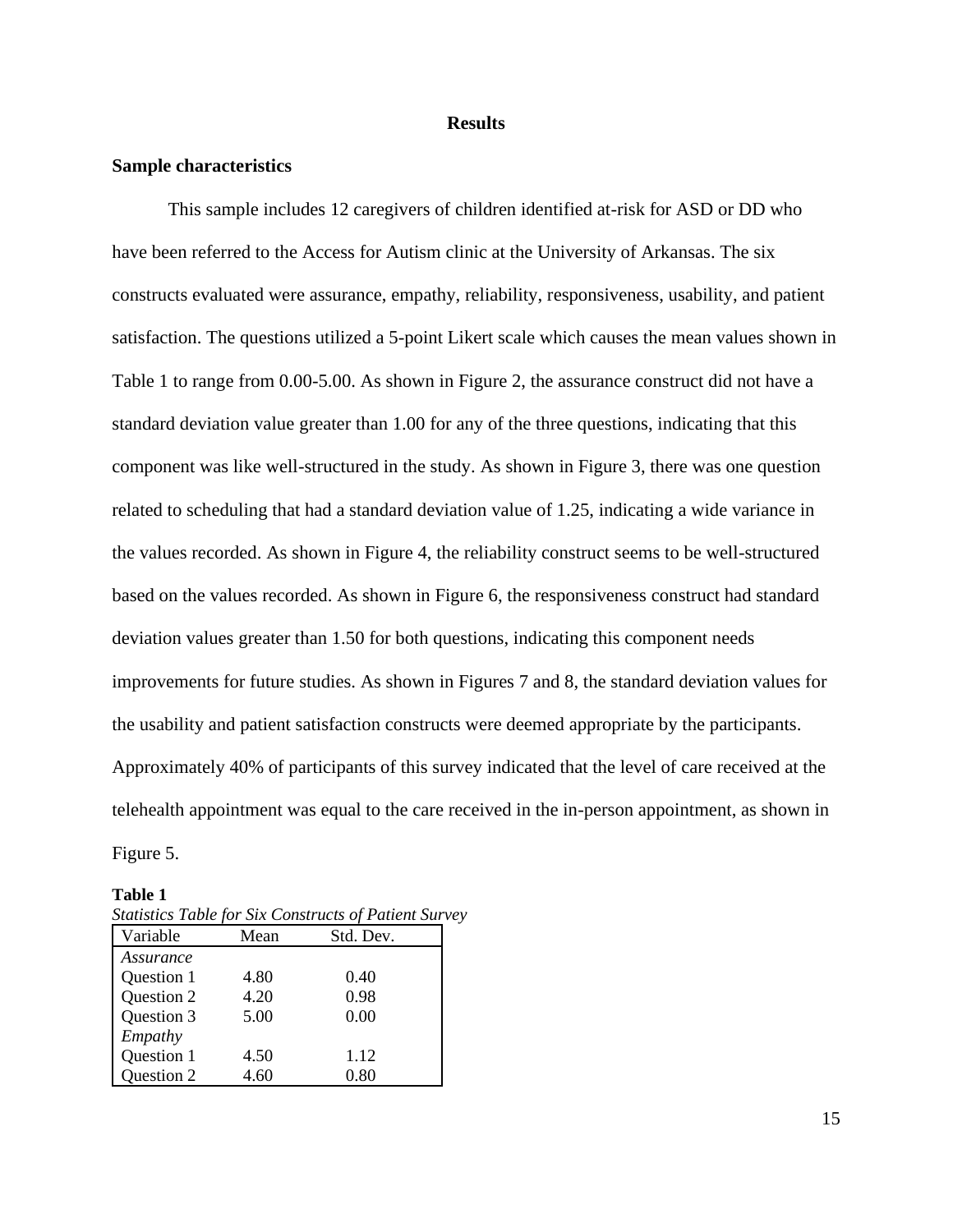#### **Results**

### **Sample characteristics**

This sample includes 12 caregivers of children identified at-risk for ASD or DD who have been referred to the Access for Autism clinic at the University of Arkansas. The six constructs evaluated were assurance, empathy, reliability, responsiveness, usability, and patient satisfaction. The questions utilized a 5-point Likert scale which causes the mean values shown in Table 1 to range from 0.00-5.00. As shown in Figure 2, the assurance construct did not have a standard deviation value greater than 1.00 for any of the three questions, indicating that this component was like well-structured in the study. As shown in Figure 3, there was one question related to scheduling that had a standard deviation value of 1.25, indicating a wide variance in the values recorded. As shown in Figure 4, the reliability construct seems to be well-structured based on the values recorded. As shown in Figure 6, the responsiveness construct had standard deviation values greater than 1.50 for both questions, indicating this component needs improvements for future studies. As shown in Figures 7 and 8, the standard deviation values for the usability and patient satisfaction constructs were deemed appropriate by the participants. Approximately 40% of participants of this survey indicated that the level of care received at the telehealth appointment was equal to the care received in the in-person appointment, as shown in Figure 5.

| Statistics Table for Six Constructs of Patient Surve |      |           |  |  |  |  |
|------------------------------------------------------|------|-----------|--|--|--|--|
| Variable                                             | Mean | Std. Dev. |  |  |  |  |
| Assurance                                            |      |           |  |  |  |  |
| Question 1                                           | 4.80 | 0.40      |  |  |  |  |
| Question 2                                           | 4.20 | 0.98      |  |  |  |  |
| Question 3                                           | 5.00 | 0.00      |  |  |  |  |
| Empathy                                              |      |           |  |  |  |  |
| Question 1                                           | 4.50 | 1.12      |  |  |  |  |
| Question 2                                           | 4.60 | 0.80      |  |  |  |  |

**Table 1** *Statistics Table for Six Constructs of Patient Survey*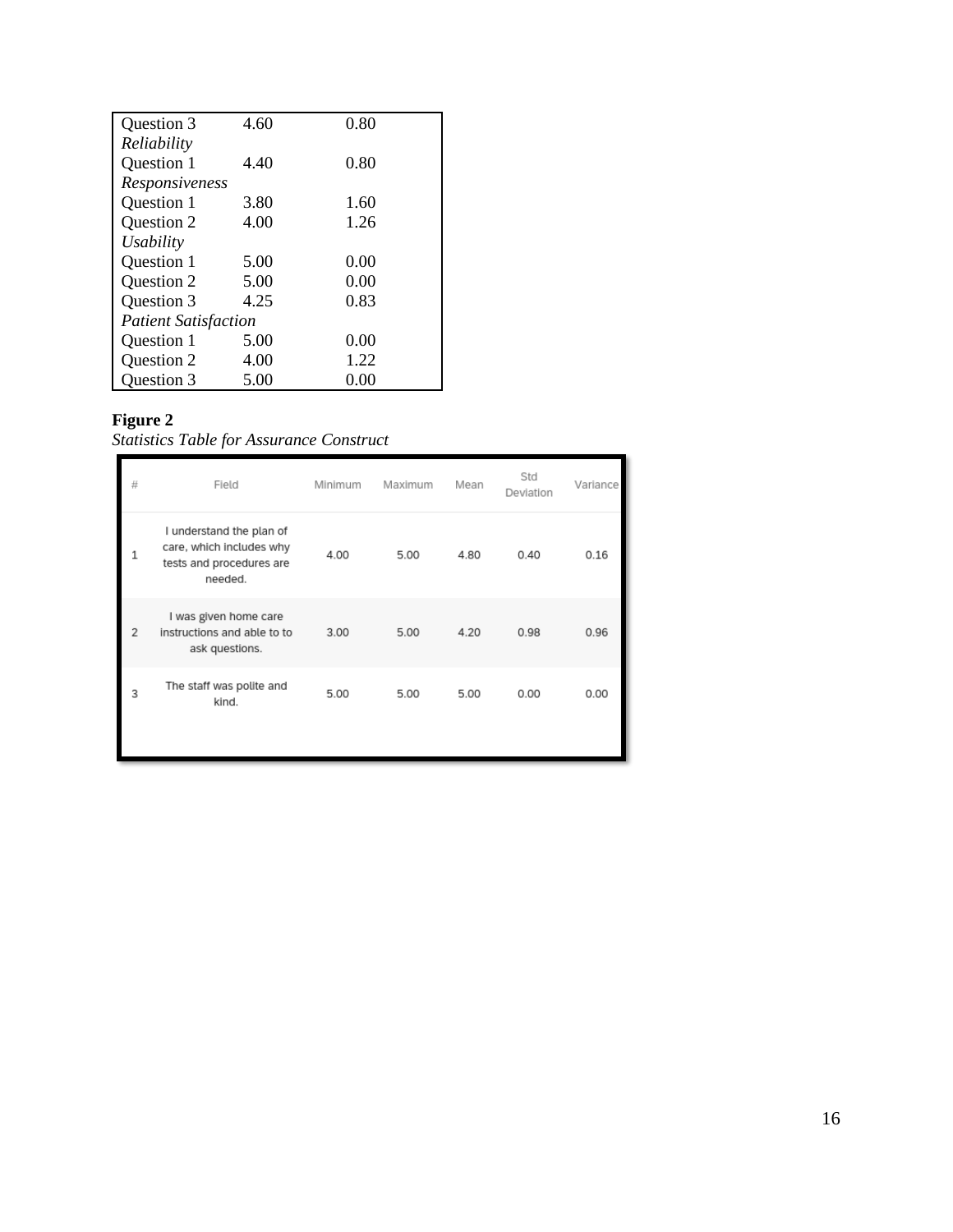| Question 3                  | 4.60 | 0.80 |  |
|-----------------------------|------|------|--|
| Reliability                 |      |      |  |
| Question 1                  | 4.40 | 0.80 |  |
| Responsiveness              |      |      |  |
| Question 1                  | 3.80 | 1.60 |  |
| Question 2                  | 4.00 | 1.26 |  |
| Usability                   |      |      |  |
| Question 1                  | 5.00 | 0.00 |  |
| Question 2                  | 5.00 | 0.00 |  |
| Question 3                  | 4.25 | 0.83 |  |
| <b>Patient Satisfaction</b> |      |      |  |
| Question 1                  | 5.00 | 0.00 |  |
| Question 2                  | 4.00 | 1.22 |  |
| Question 3                  | 5.00 | 0.00 |  |

*Statistics Table for Assurance Construct*

| # | Field                                                                                       | Minimum | Maximum | Mean | Std<br>Deviation | Variance |
|---|---------------------------------------------------------------------------------------------|---------|---------|------|------------------|----------|
|   | I understand the plan of<br>care, which includes why<br>tests and procedures are<br>needed. | 4.00    | 5.00    | 4.80 | 0.40             | 0.16     |
| 2 | I was given home care<br>instructions and able to to<br>ask questions.                      | 3.00    | 5.00    | 4.20 | 0.98             | 0.96     |
| 3 | The staff was polite and<br>kind.                                                           | 5.00    | 5.00    | 5.00 | 0.00             | 0.00     |
|   |                                                                                             |         |         |      |                  |          |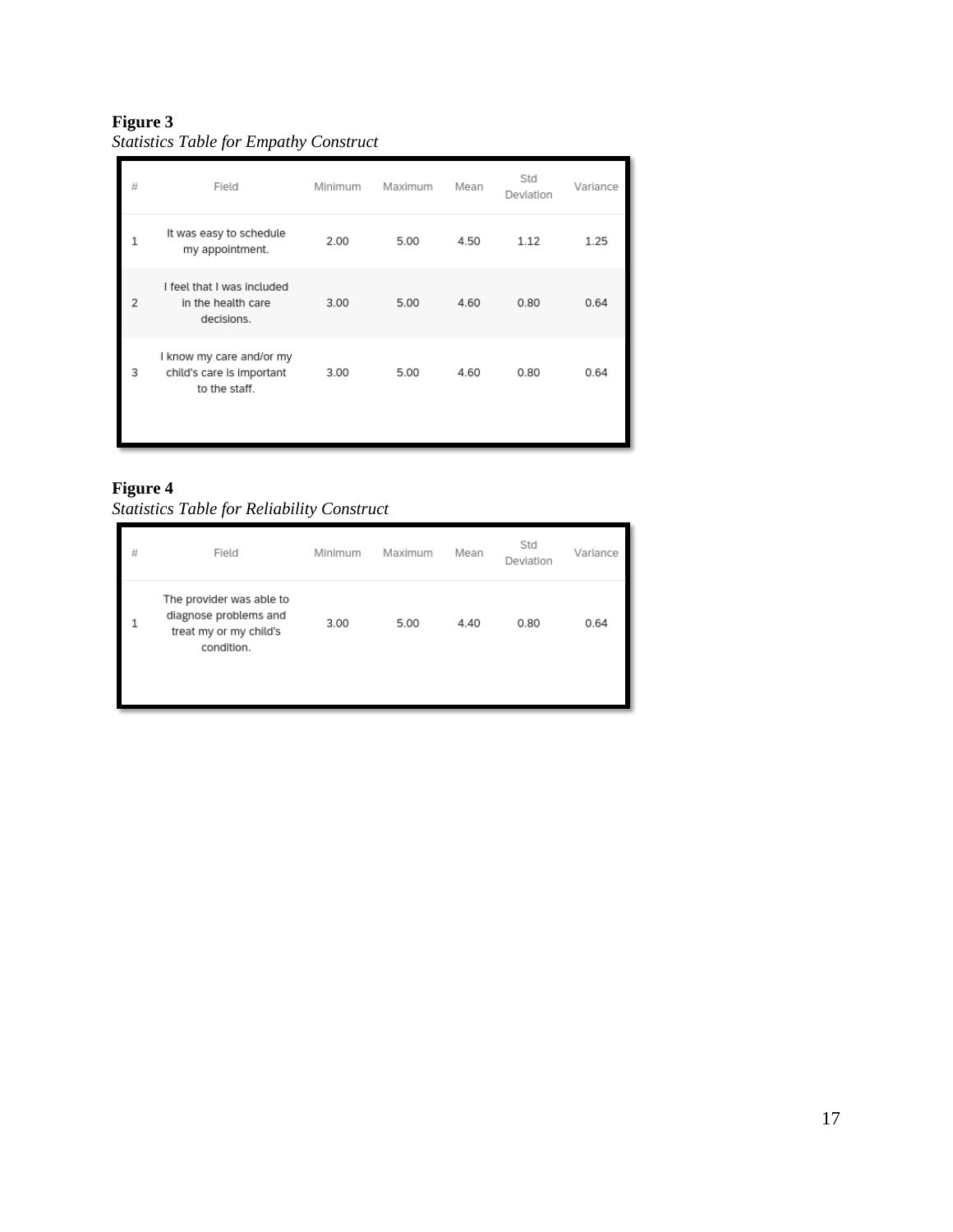| # | Field                                                                  | Minimum | Maximum | Mean | Std<br>Deviation | Variance |
|---|------------------------------------------------------------------------|---------|---------|------|------------------|----------|
| 1 | It was easy to schedule<br>my appointment.                             | 2.00    | 5.00    | 4.50 | 1.12             | 1.25     |
| 2 | I feel that I was included<br>in the health care<br>decisions.         | 3.00    | 5.00    | 4.60 | 0.80             | 0.64     |
| 3 | I know my care and/or my<br>child's care is important<br>to the staff. | 3.00    | 5.00    | 4.60 | 0.80             | 0.64     |

# **Figure 4**

# *Statistics Table for Reliability Construct*

| # | Field                                                                                     | Minimum | Maximum | Mean | Std<br>Deviation | Variance |
|---|-------------------------------------------------------------------------------------------|---------|---------|------|------------------|----------|
|   | The provider was able to<br>diagnose problems and<br>treat my or my child's<br>condition. | 3.00    | 5.00    | 4.40 | 0.80             | 0.64     |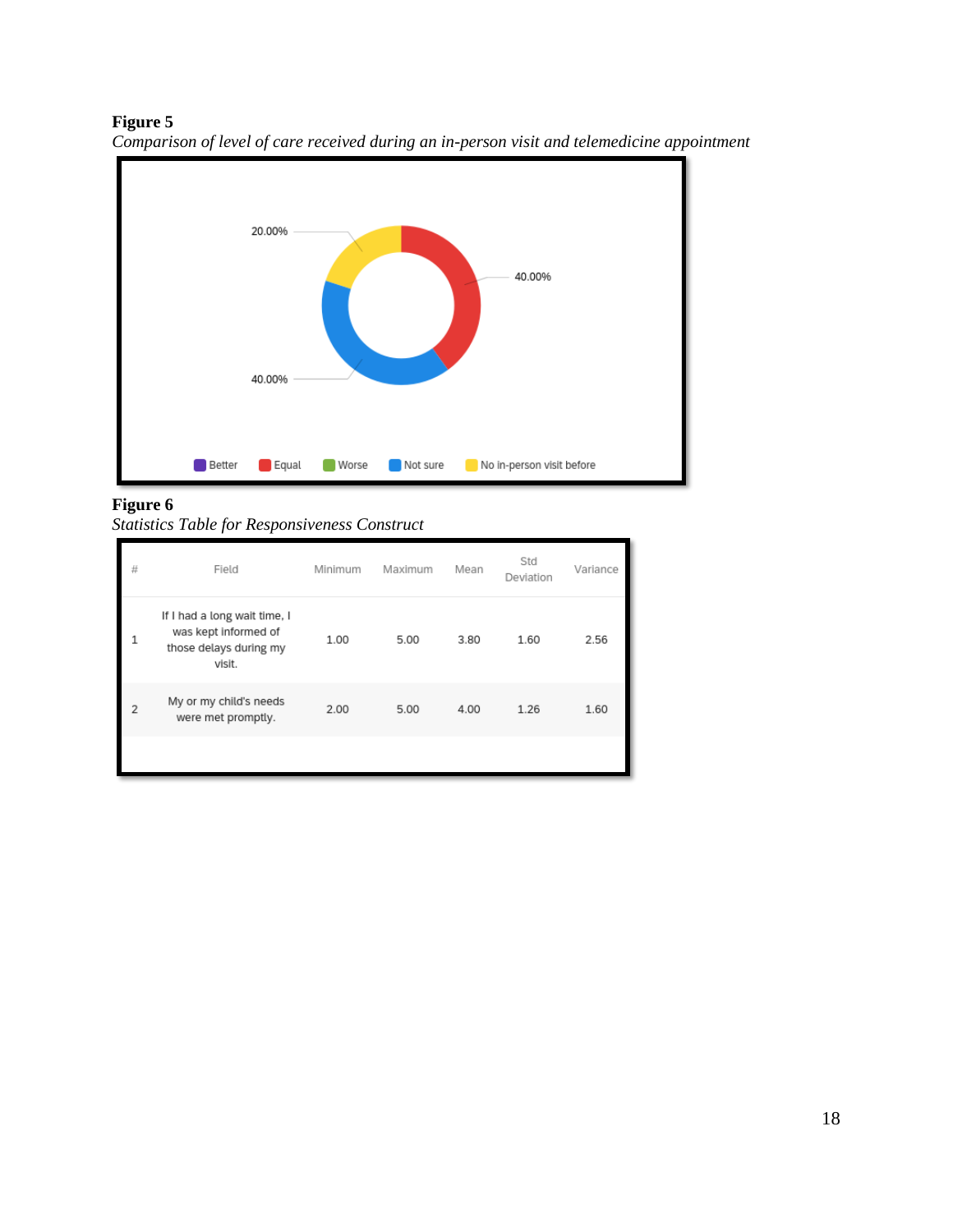

*Comparison of level of care received during an in-person visit and telemedicine appointment*

### **Figure 6**

*Statistics Table for Responsiveness Construct* 

| Field                                                                                    | Minimum | Maximum | Mean | Std<br>Deviation | Variance |
|------------------------------------------------------------------------------------------|---------|---------|------|------------------|----------|
| If I had a long wait time, I<br>was kept informed of<br>those delays during my<br>visit. | 1.00    | 5.00    | 3.80 | 1.60             | 2.56     |
| My or my child's needs<br>were met promptly.                                             | 2.00    | 5.00    | 4.00 | 1.26             | 1.60     |
|                                                                                          |         |         |      |                  |          |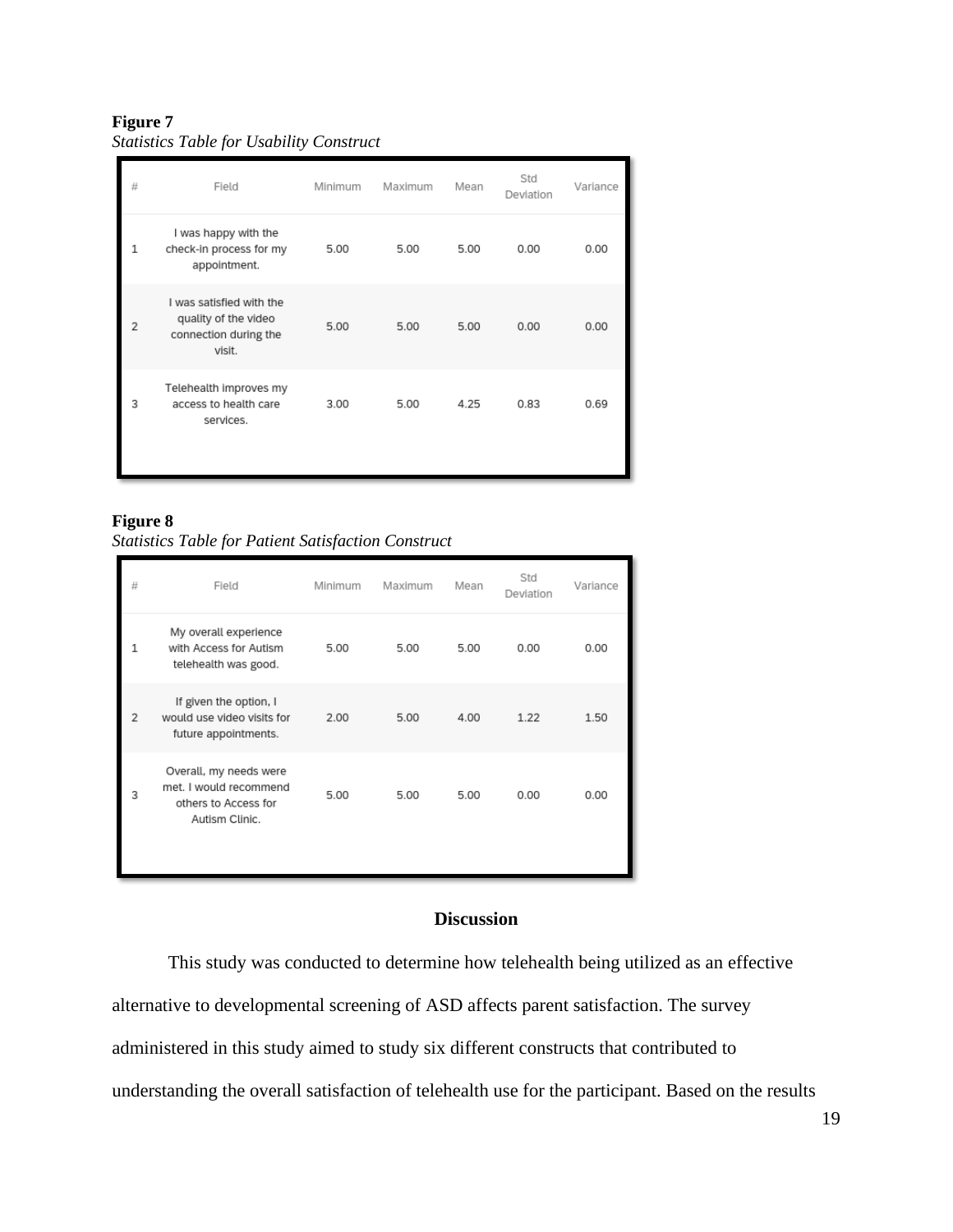|  | <b>Statistics Table for Usability Construct</b> |  |  |
|--|-------------------------------------------------|--|--|
|--|-------------------------------------------------|--|--|

| # | Field                                                                               | Minimum | Maximum | Mean | Std<br>Deviation | Variance |
|---|-------------------------------------------------------------------------------------|---------|---------|------|------------------|----------|
| 1 | I was happy with the<br>check-in process for my<br>appointment.                     | 5.00    | 5.00    | 5.00 | 0.00             | 0.00     |
| 2 | I was satisfied with the<br>quality of the video<br>connection during the<br>visit. | 5.00    | 5.00    | 5.00 | 0.00             | 0.00     |
| 3 | Telehealth improves my<br>access to health care<br>services.                        | 3.00    | 5.00    | 4.25 | 0.83             | 0.69     |

### **Figure 8**

*Statistics Table for Patient Satisfaction Construct*

| #              | Field                                                                                      | Minimum | Maximum | Mean | Std<br>Deviation | Variance |
|----------------|--------------------------------------------------------------------------------------------|---------|---------|------|------------------|----------|
|                | My overall experience<br>with Access for Autism<br>telehealth was good.                    | 5.00    | 5.00    | 5.00 | 0.00             | 0.00     |
| $\overline{2}$ | If given the option, I<br>would use video visits for<br>future appointments.               | 2.00    | 5.00    | 4.00 | 1.22             | 1.50     |
| 3              | Overall, my needs were<br>met. I would recommend<br>others to Access for<br>Autism Clinic. | 5.00    | 5.00    | 5.00 | 0.00             | 0.00     |

# **Discussion**

This study was conducted to determine how telehealth being utilized as an effective alternative to developmental screening of ASD affects parent satisfaction. The survey administered in this study aimed to study six different constructs that contributed to understanding the overall satisfaction of telehealth use for the participant. Based on the results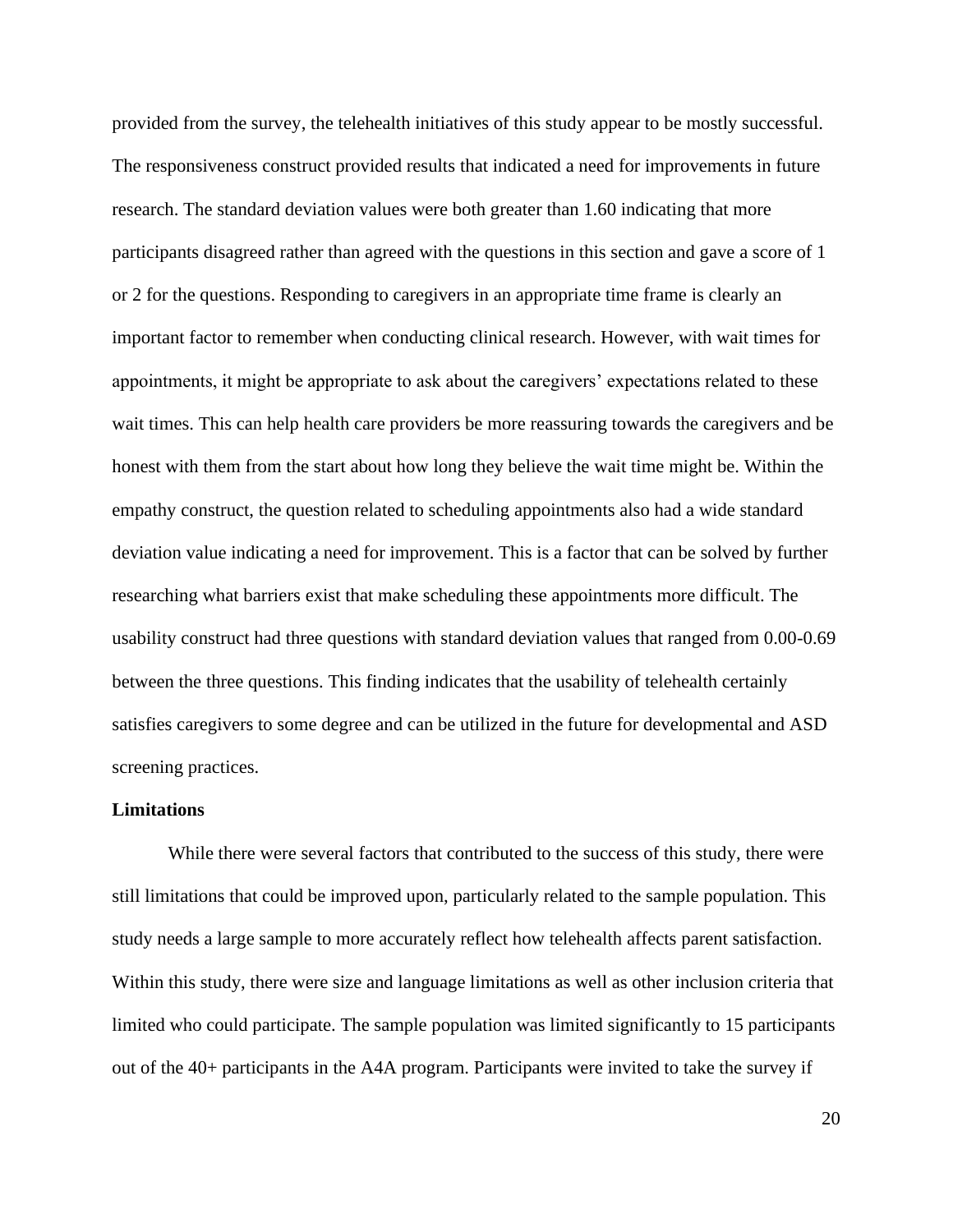provided from the survey, the telehealth initiatives of this study appear to be mostly successful. The responsiveness construct provided results that indicated a need for improvements in future research. The standard deviation values were both greater than 1.60 indicating that more participants disagreed rather than agreed with the questions in this section and gave a score of 1 or 2 for the questions. Responding to caregivers in an appropriate time frame is clearly an important factor to remember when conducting clinical research. However, with wait times for appointments, it might be appropriate to ask about the caregivers' expectations related to these wait times. This can help health care providers be more reassuring towards the caregivers and be honest with them from the start about how long they believe the wait time might be. Within the empathy construct, the question related to scheduling appointments also had a wide standard deviation value indicating a need for improvement. This is a factor that can be solved by further researching what barriers exist that make scheduling these appointments more difficult. The usability construct had three questions with standard deviation values that ranged from 0.00-0.69 between the three questions. This finding indicates that the usability of telehealth certainly satisfies caregivers to some degree and can be utilized in the future for developmental and ASD screening practices.

#### **Limitations**

While there were several factors that contributed to the success of this study, there were still limitations that could be improved upon, particularly related to the sample population. This study needs a large sample to more accurately reflect how telehealth affects parent satisfaction. Within this study, there were size and language limitations as well as other inclusion criteria that limited who could participate. The sample population was limited significantly to 15 participants out of the 40+ participants in the A4A program. Participants were invited to take the survey if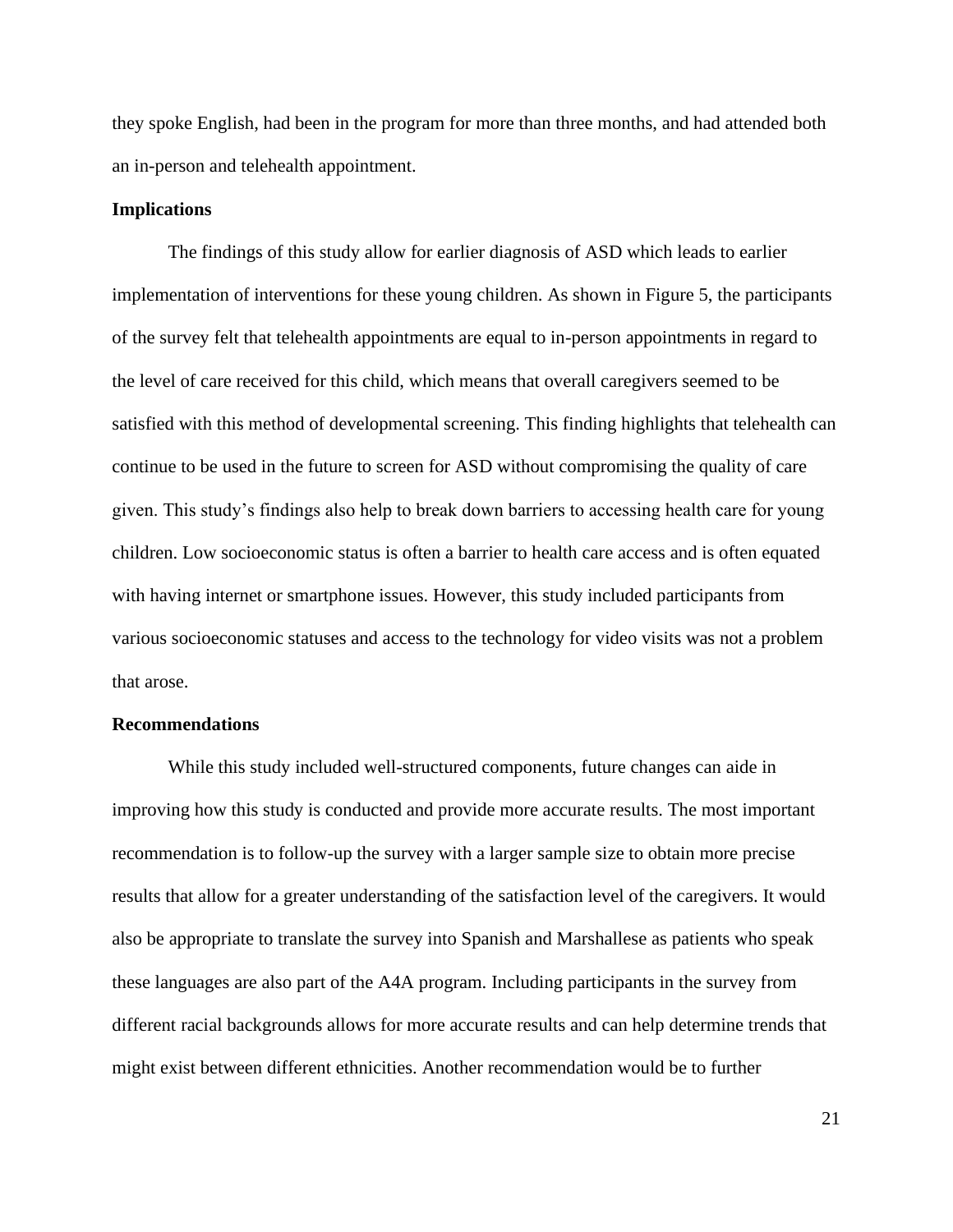they spoke English, had been in the program for more than three months, and had attended both an in-person and telehealth appointment.

#### **Implications**

The findings of this study allow for earlier diagnosis of ASD which leads to earlier implementation of interventions for these young children. As shown in Figure 5, the participants of the survey felt that telehealth appointments are equal to in-person appointments in regard to the level of care received for this child, which means that overall caregivers seemed to be satisfied with this method of developmental screening. This finding highlights that telehealth can continue to be used in the future to screen for ASD without compromising the quality of care given. This study's findings also help to break down barriers to accessing health care for young children. Low socioeconomic status is often a barrier to health care access and is often equated with having internet or smartphone issues. However, this study included participants from various socioeconomic statuses and access to the technology for video visits was not a problem that arose.

#### **Recommendations**

While this study included well-structured components, future changes can aide in improving how this study is conducted and provide more accurate results. The most important recommendation is to follow-up the survey with a larger sample size to obtain more precise results that allow for a greater understanding of the satisfaction level of the caregivers. It would also be appropriate to translate the survey into Spanish and Marshallese as patients who speak these languages are also part of the A4A program. Including participants in the survey from different racial backgrounds allows for more accurate results and can help determine trends that might exist between different ethnicities. Another recommendation would be to further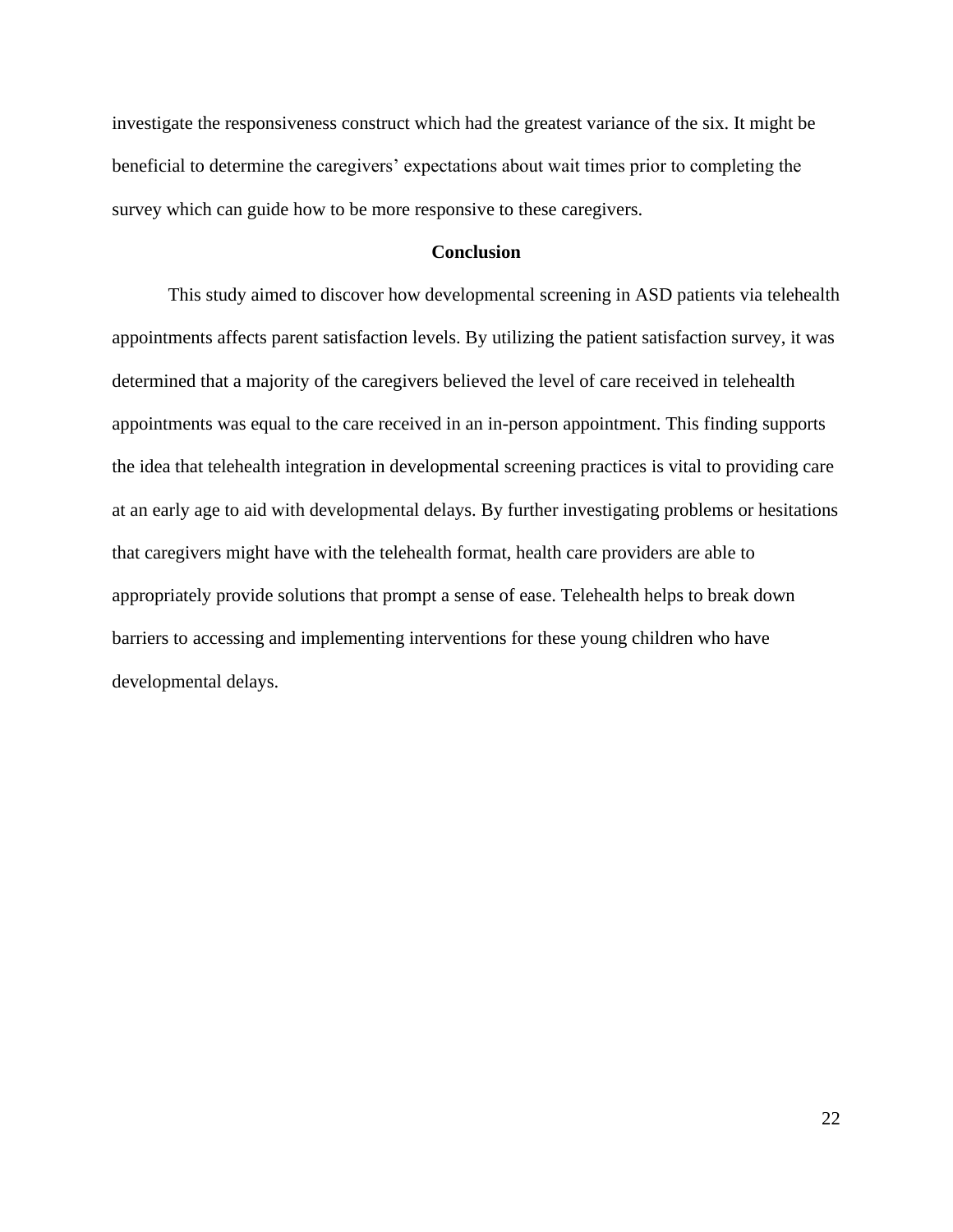investigate the responsiveness construct which had the greatest variance of the six. It might be beneficial to determine the caregivers' expectations about wait times prior to completing the survey which can guide how to be more responsive to these caregivers.

### **Conclusion**

This study aimed to discover how developmental screening in ASD patients via telehealth appointments affects parent satisfaction levels. By utilizing the patient satisfaction survey, it was determined that a majority of the caregivers believed the level of care received in telehealth appointments was equal to the care received in an in-person appointment. This finding supports the idea that telehealth integration in developmental screening practices is vital to providing care at an early age to aid with developmental delays. By further investigating problems or hesitations that caregivers might have with the telehealth format, health care providers are able to appropriately provide solutions that prompt a sense of ease. Telehealth helps to break down barriers to accessing and implementing interventions for these young children who have developmental delays.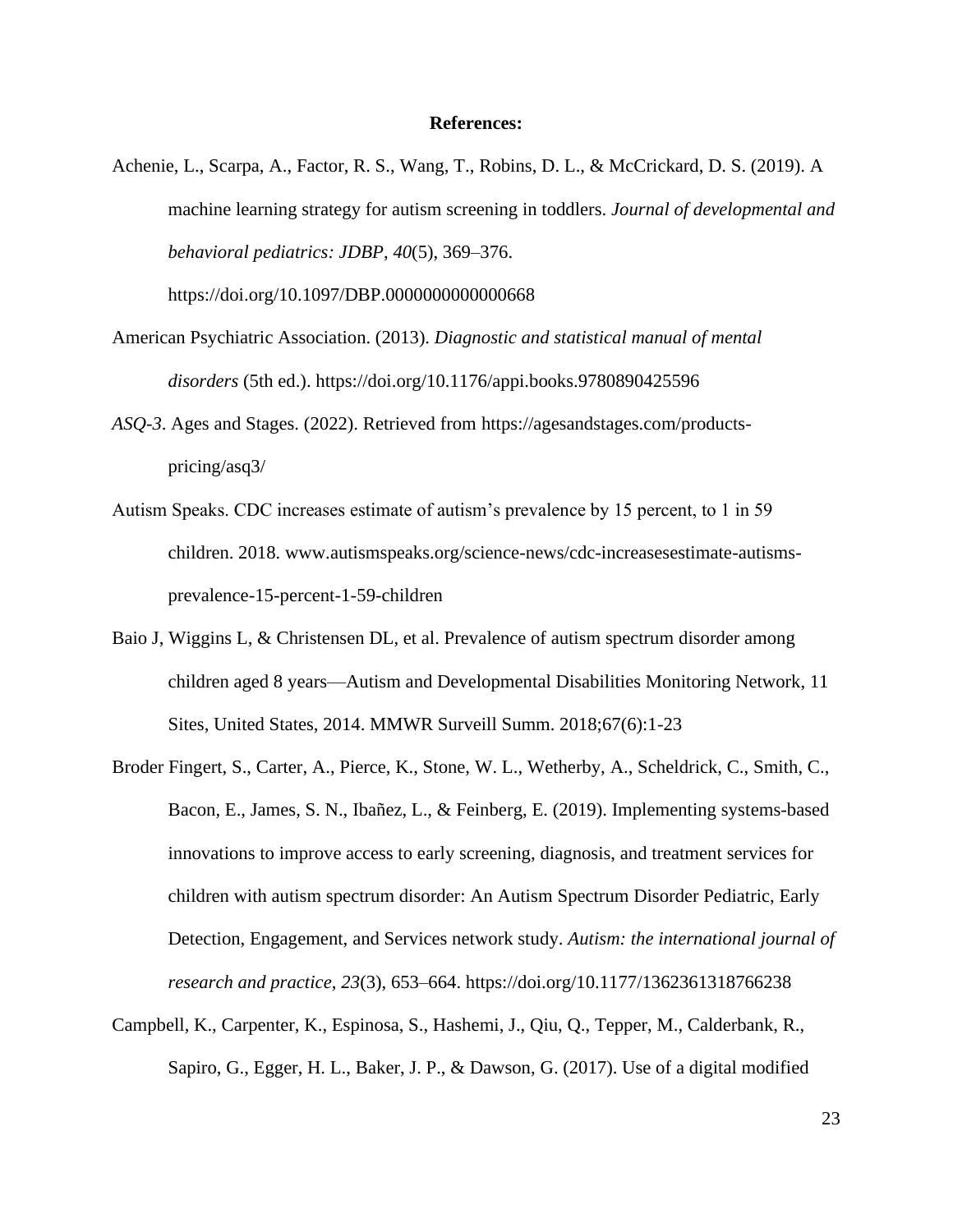#### **References:**

Achenie, L., Scarpa, A., Factor, R. S., Wang, T., Robins, D. L., & McCrickard, D. S. (2019). A machine learning strategy for autism screening in toddlers. *Journal of developmental and behavioral pediatrics: JDBP*, *40*(5), 369–376.

https://doi.org/10.1097/DBP.0000000000000668

- American Psychiatric Association. (2013). *Diagnostic and statistical manual of mental disorders* (5th ed.). https://doi.org/10.1176/appi.books.9780890425596
- *ASQ-3*. Ages and Stages. (2022). Retrieved from https://agesandstages.com/productspricing/asq3/
- Autism Speaks. CDC increases estimate of autism's prevalence by 15 percent, to 1 in 59 children. 2018. www.autismspeaks.org/science-news/cdc-increasesestimate-autismsprevalence-15-percent-1-59-children
- Baio J, Wiggins L, & Christensen DL, et al. Prevalence of autism spectrum disorder among children aged 8 years—Autism and Developmental Disabilities Monitoring Network, 11 Sites, United States, 2014. MMWR Surveill Summ. 2018;67(6):1-23
- Broder Fingert, S., Carter, A., Pierce, K., Stone, W. L., Wetherby, A., Scheldrick, C., Smith, C., Bacon, E., James, S. N., Ibañez, L., & Feinberg, E. (2019). Implementing systems-based innovations to improve access to early screening, diagnosis, and treatment services for children with autism spectrum disorder: An Autism Spectrum Disorder Pediatric, Early Detection, Engagement, and Services network study. *Autism: the international journal of research and practice*, *23*(3), 653–664. https://doi.org/10.1177/1362361318766238
- Campbell, K., Carpenter, K., Espinosa, S., Hashemi, J., Qiu, Q., Tepper, M., Calderbank, R., Sapiro, G., Egger, H. L., Baker, J. P., & Dawson, G. (2017). Use of a digital modified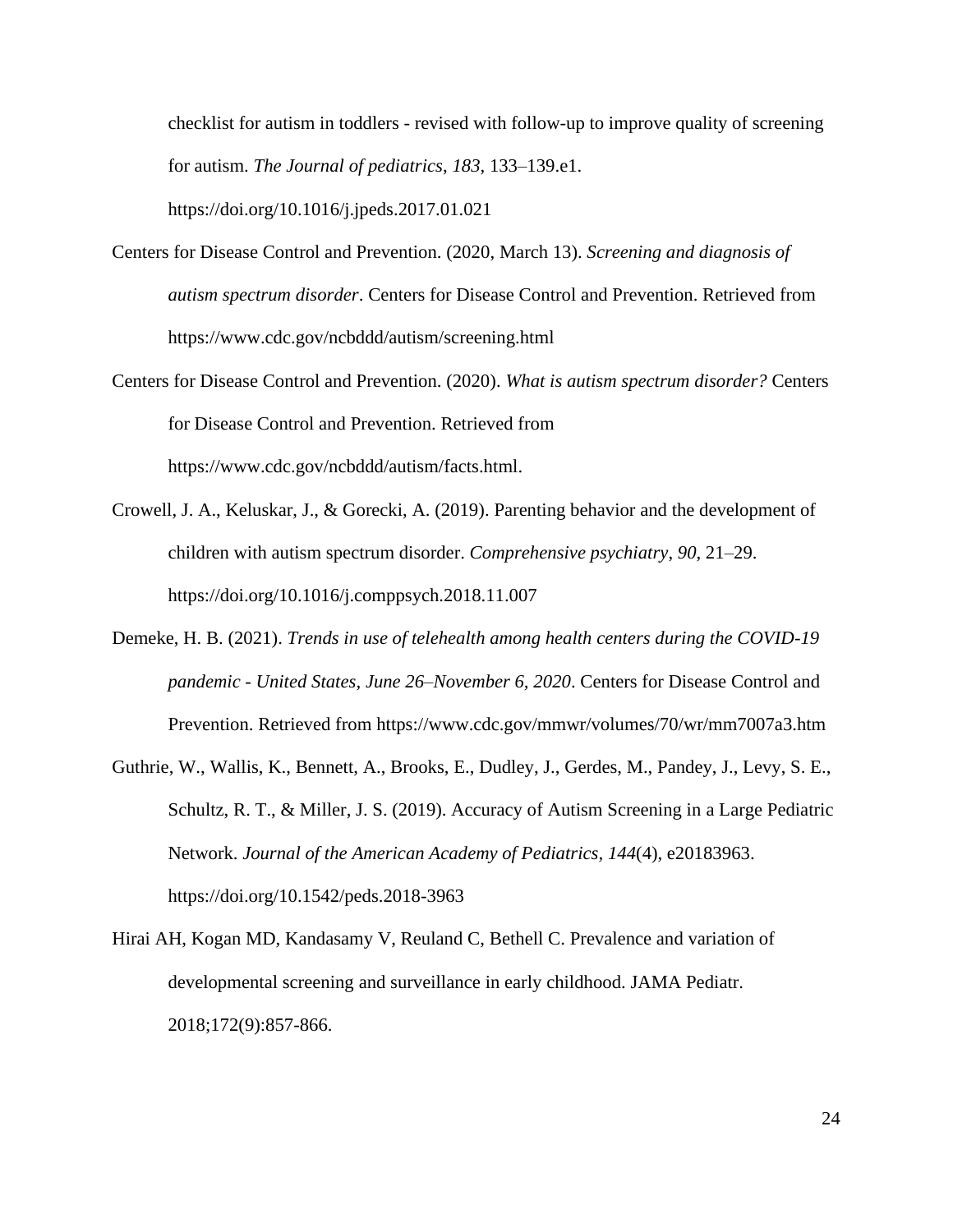checklist for autism in toddlers - revised with follow-up to improve quality of screening for autism. *The Journal of pediatrics*, *183*, 133–139.e1.

https://doi.org/10.1016/j.jpeds.2017.01.021

- Centers for Disease Control and Prevention. (2020, March 13). *Screening and diagnosis of autism spectrum disorder*. Centers for Disease Control and Prevention. Retrieved from https://www.cdc.gov/ncbddd/autism/screening.html
- Centers for Disease Control and Prevention. (2020). *What is autism spectrum disorder?* Centers for Disease Control and Prevention. Retrieved from https://www.cdc.gov/ncbddd/autism/facts.html.
- Crowell, J. A., Keluskar, J., & Gorecki, A. (2019). Parenting behavior and the development of children with autism spectrum disorder. *Comprehensive psychiatry*, *90*, 21–29. https://doi.org/10.1016/j.comppsych.2018.11.007
- Demeke, H. B. (2021). *Trends in use of telehealth among health centers during the COVID-19 pandemic - United States, June 26–November 6, 2020*. Centers for Disease Control and Prevention. Retrieved from https://www.cdc.gov/mmwr/volumes/70/wr/mm7007a3.htm
- Guthrie, W., Wallis, K., Bennett, A., Brooks, E., Dudley, J., Gerdes, M., Pandey, J., Levy, S. E., Schultz, R. T., & Miller, J. S. (2019). Accuracy of Autism Screening in a Large Pediatric Network. *Journal of the American Academy of Pediatrics, 144*(4), e20183963. https://doi.org/10.1542/peds.2018-3963
- Hirai AH, Kogan MD, Kandasamy V, Reuland C, Bethell C. Prevalence and variation of developmental screening and surveillance in early childhood. JAMA Pediatr. 2018;172(9):857-866.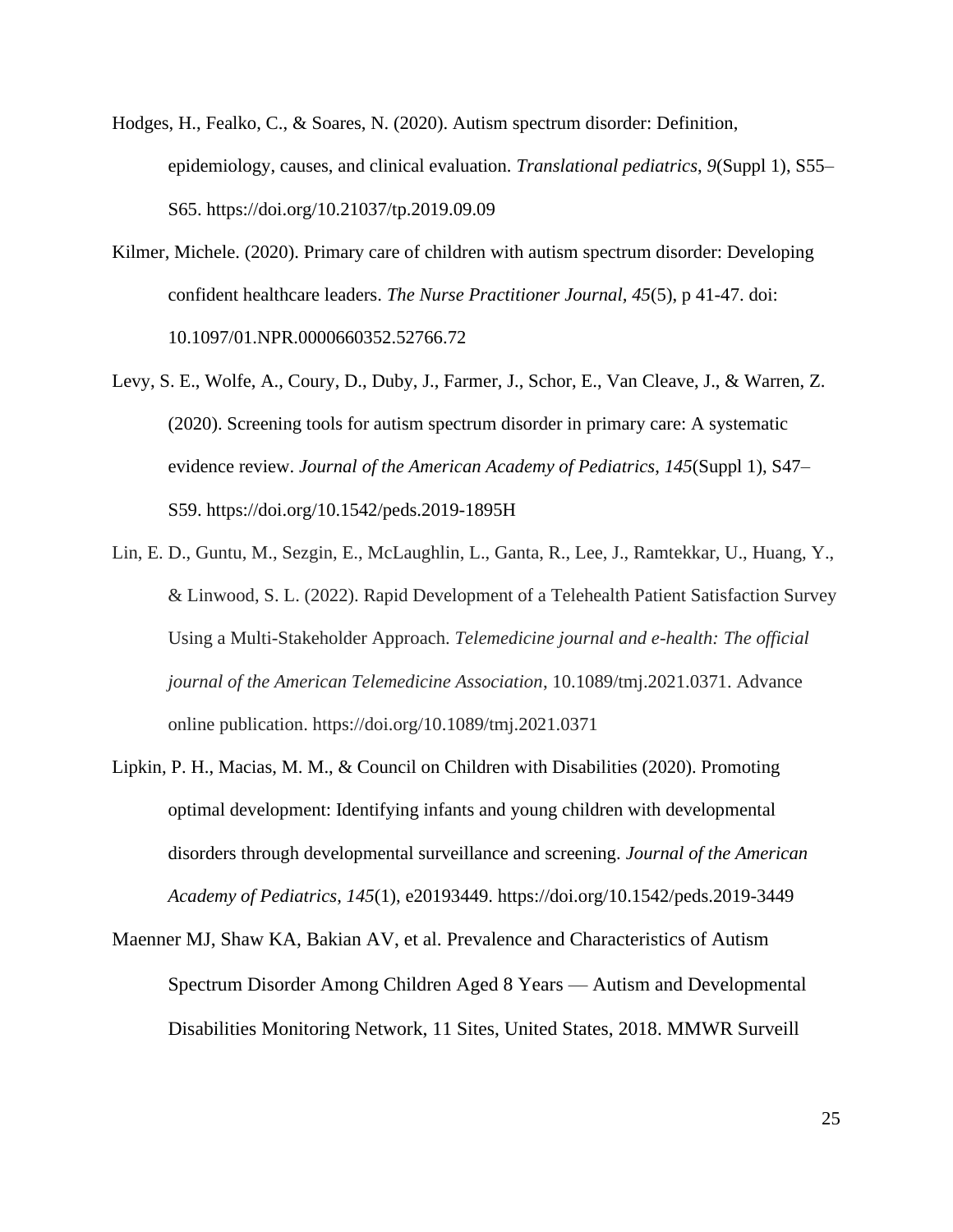- Hodges, H., Fealko, C., & Soares, N. (2020). Autism spectrum disorder: Definition, epidemiology, causes, and clinical evaluation. *Translational pediatrics*, *9*(Suppl 1), S55– S65. https://doi.org/10.21037/tp.2019.09.09
- Kilmer, Michele. (2020). Primary care of children with autism spectrum disorder: Developing confident healthcare leaders. *The Nurse Practitioner Journal, 45*(5), p 41-47. doi: 10.1097/01.NPR.0000660352.52766.72
- Levy, S. E., Wolfe, A., Coury, D., Duby, J., Farmer, J., Schor, E., Van Cleave, J., & Warren, Z. (2020). Screening tools for autism spectrum disorder in primary care: A systematic evidence review. *Journal of the American Academy of Pediatrics*, *145*(Suppl 1), S47– S59. https://doi.org/10.1542/peds.2019-1895H
- Lin, E. D., Guntu, M., Sezgin, E., McLaughlin, L., Ganta, R., Lee, J., Ramtekkar, U., Huang, Y., & Linwood, S. L. (2022). Rapid Development of a Telehealth Patient Satisfaction Survey Using a Multi-Stakeholder Approach. *Telemedicine journal and e-health: The official journal of the American Telemedicine Association*, 10.1089/tmj.2021.0371. Advance online publication. https://doi.org/10.1089/tmj.2021.0371
- Lipkin, P. H., Macias, M. M., & Council on Children with Disabilities (2020). Promoting optimal development: Identifying infants and young children with developmental disorders through developmental surveillance and screening. *Journal of the American Academy of Pediatrics*, *145*(1), e20193449. https://doi.org/10.1542/peds.2019-3449
- Maenner MJ, Shaw KA, Bakian AV, et al. Prevalence and Characteristics of Autism Spectrum Disorder Among Children Aged 8 Years — Autism and Developmental Disabilities Monitoring Network, 11 Sites, United States, 2018. MMWR Surveill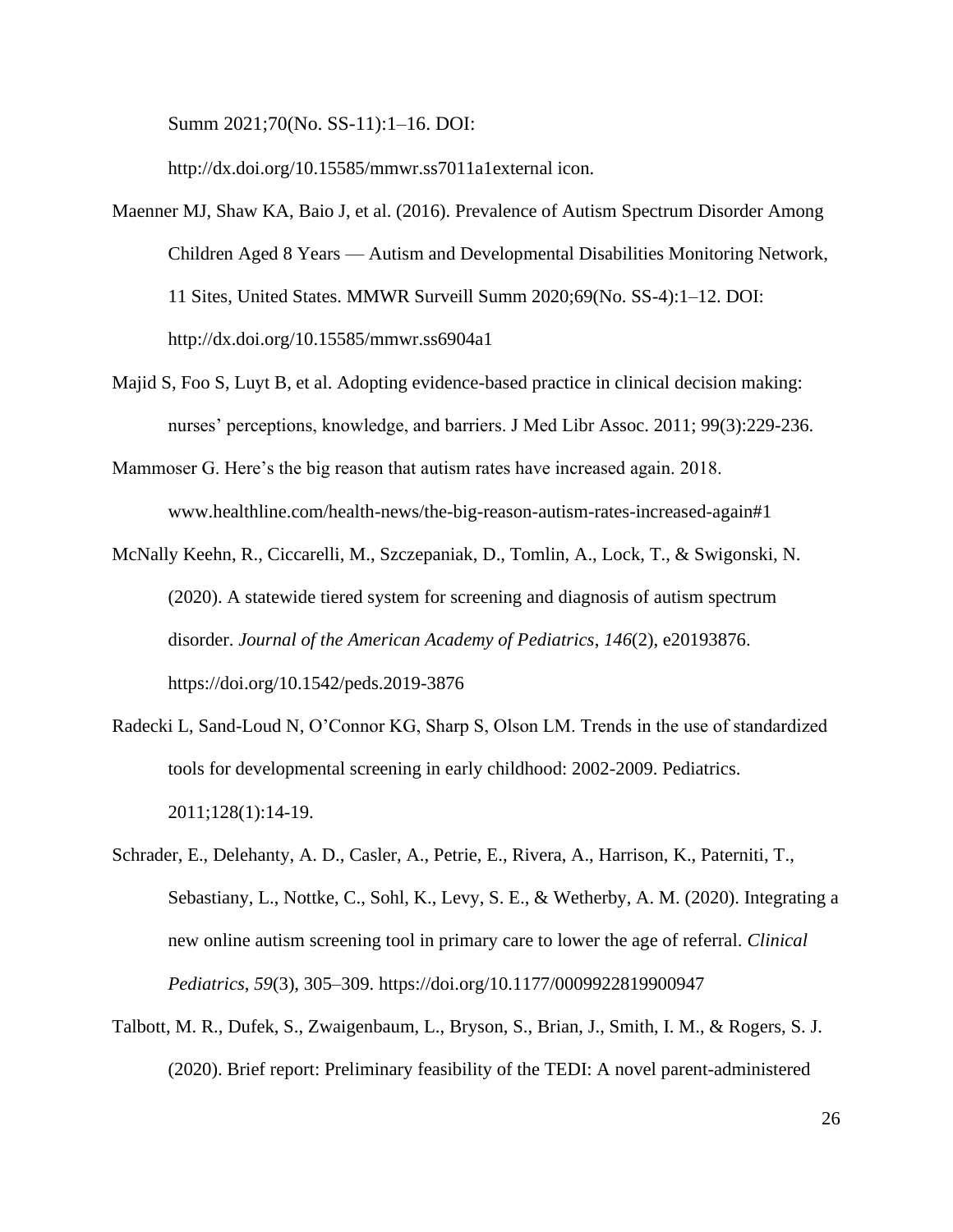Summ 2021;70(No. SS-11):1–16. DOI:

http://dx.doi.org/10.15585/mmwr.ss7011a1external icon.

- Maenner MJ, Shaw KA, Baio J, et al. (2016). Prevalence of Autism Spectrum Disorder Among Children Aged 8 Years — Autism and Developmental Disabilities Monitoring Network, 11 Sites, United States. MMWR Surveill Summ 2020;69(No. SS-4):1–12. DOI: http://dx.doi.org/10.15585/mmwr.ss6904a1
- Majid S, Foo S, Luyt B, et al. Adopting evidence-based practice in clinical decision making: nurses' perceptions, knowledge, and barriers. J Med Libr Assoc. 2011; 99(3):229-236.
- Mammoser G. Here's the big reason that autism rates have increased again. 2018. www.healthline.com/health-news/the-big-reason-autism-rates-increased-again#1
- McNally Keehn, R., Ciccarelli, M., Szczepaniak, D., Tomlin, A., Lock, T., & Swigonski, N. (2020). A statewide tiered system for screening and diagnosis of autism spectrum disorder. *Journal of the American Academy of Pediatrics*, *146*(2), e20193876. https://doi.org/10.1542/peds.2019-3876
- Radecki L, Sand-Loud N, O'Connor KG, Sharp S, Olson LM. Trends in the use of standardized tools for developmental screening in early childhood: 2002-2009. Pediatrics. 2011;128(1):14-19.
- Schrader, E., Delehanty, A. D., Casler, A., Petrie, E., Rivera, A., Harrison, K., Paterniti, T., Sebastiany, L., Nottke, C., Sohl, K., Levy, S. E., & Wetherby, A. M. (2020). Integrating a new online autism screening tool in primary care to lower the age of referral. *Clinical Pediatrics*, *59*(3), 305–309. https://doi.org/10.1177/0009922819900947
- Talbott, M. R., Dufek, S., Zwaigenbaum, L., Bryson, S., Brian, J., Smith, I. M., & Rogers, S. J. (2020). Brief report: Preliminary feasibility of the TEDI: A novel parent-administered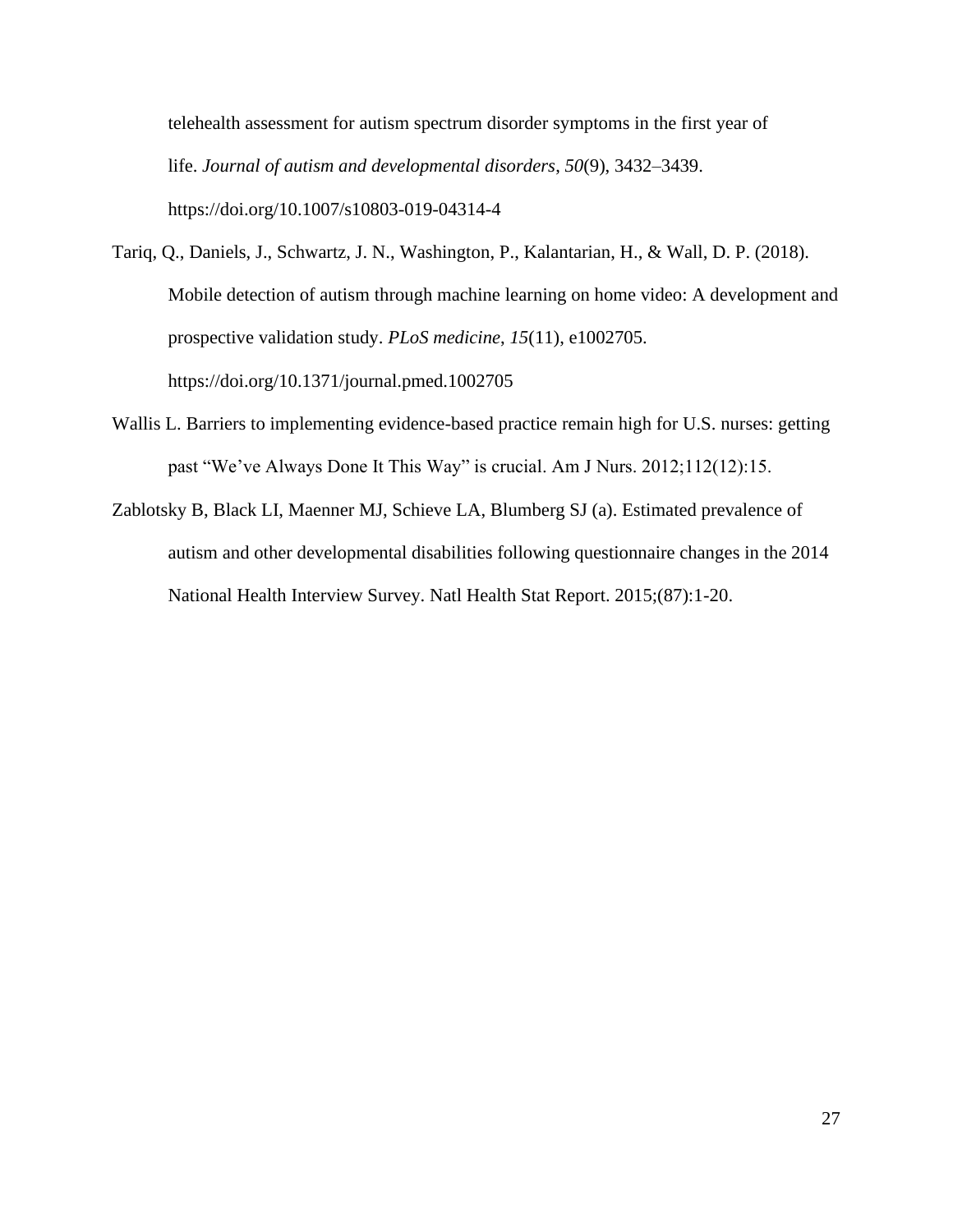telehealth assessment for autism spectrum disorder symptoms in the first year of life. *Journal of autism and developmental disorders*, *50*(9), 3432–3439. https://doi.org/10.1007/s10803-019-04314-4

- Tariq, Q., Daniels, J., Schwartz, J. N., Washington, P., Kalantarian, H., & Wall, D. P. (2018). Mobile detection of autism through machine learning on home video: A development and prospective validation study. *PLoS medicine*, *15*(11), e1002705. https://doi.org/10.1371/journal.pmed.1002705
- Wallis L. Barriers to implementing evidence-based practice remain high for U.S. nurses: getting past "We've Always Done It This Way" is crucial. Am J Nurs. 2012;112(12):15.
- Zablotsky B, Black LI, Maenner MJ, Schieve LA, Blumberg SJ (a). Estimated prevalence of autism and other developmental disabilities following questionnaire changes in the 2014 National Health Interview Survey. Natl Health Stat Report. 2015;(87):1-20.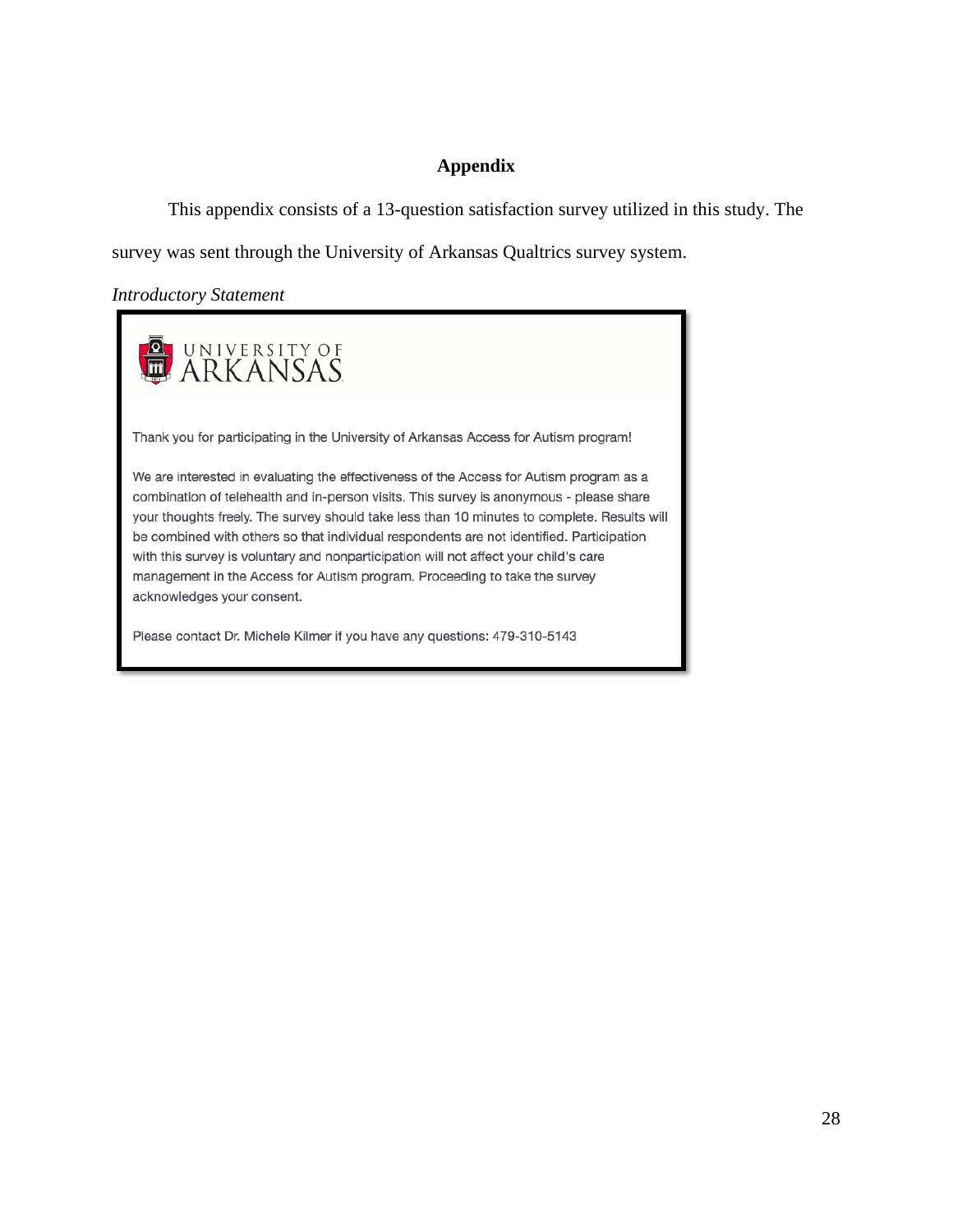# **Appendix**

This appendix consists of a 13-question satisfaction survey utilized in this study. The

survey was sent through the University of Arkansas Qualtrics survey system.

*Introductory Statement* 



Please contact Dr. Michele Kilmer if you have any questions: 479-310-5143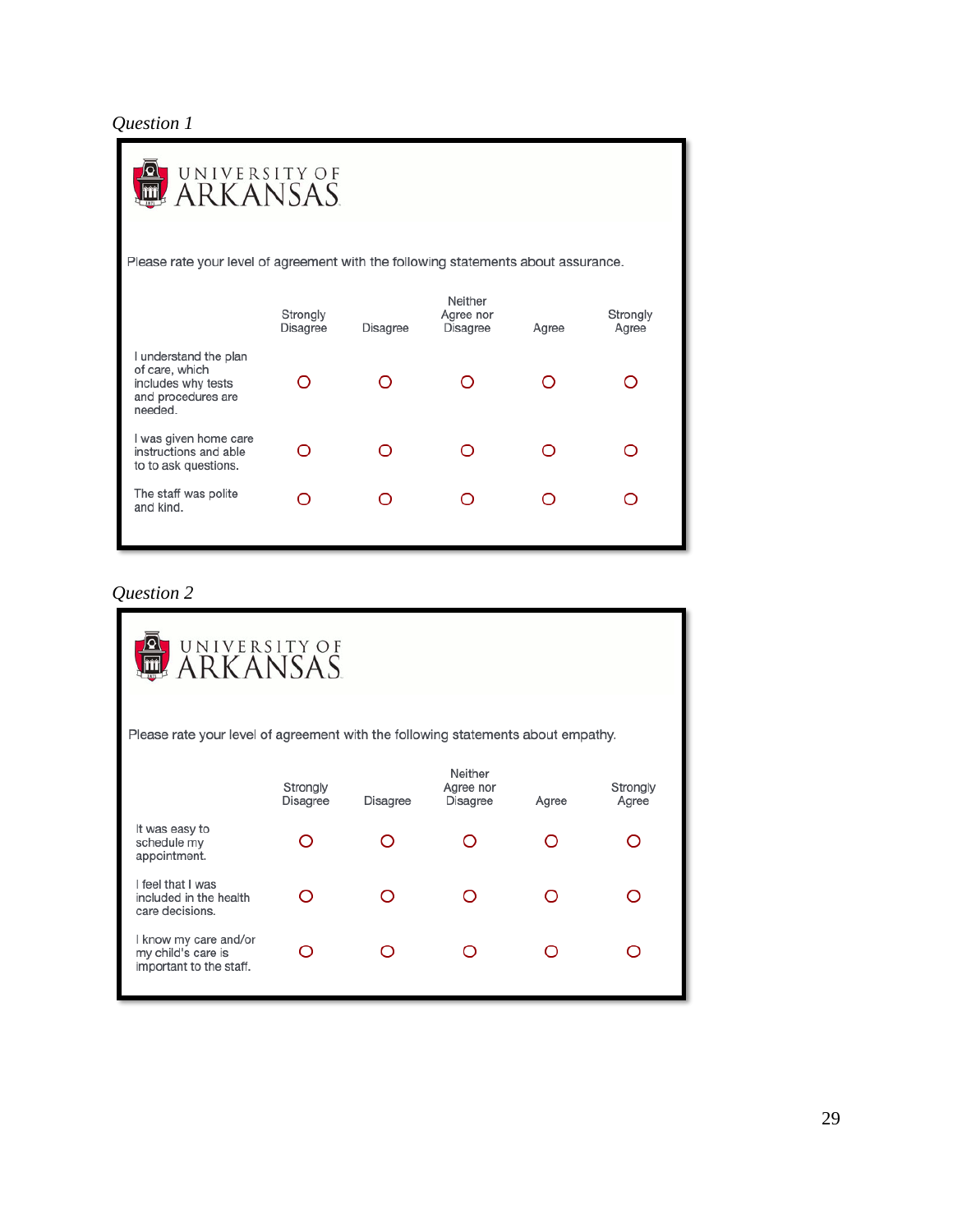| UNIVERSITY OF<br><b>ARKANSAS</b>                                                               |                             |                 |                                         |       |                   |  |  |
|------------------------------------------------------------------------------------------------|-----------------------------|-----------------|-----------------------------------------|-------|-------------------|--|--|
| Please rate your level of agreement with the following statements about assurance.             |                             |                 |                                         |       |                   |  |  |
|                                                                                                | Strongly<br><b>Disagree</b> | <b>Disagree</b> | Neither<br>Agree nor<br><b>Disagree</b> | Agree | Strongly<br>Agree |  |  |
| I understand the plan<br>of care, which<br>includes why tests<br>and procedures are<br>needed. |                             |                 |                                         | ∩     |                   |  |  |
| I was given home care<br>instructions and able<br>to to ask questions.                         |                             |                 |                                         |       |                   |  |  |
| The staff was polite<br>and kind.                                                              |                             |                 |                                         |       |                   |  |  |

| <b>UNIVERSITY OF</b><br><b>ARKANSAS</b>                                          |                             |                 |                                         |       |                   |  |  |
|----------------------------------------------------------------------------------|-----------------------------|-----------------|-----------------------------------------|-------|-------------------|--|--|
| Please rate your level of agreement with the following statements about empathy. |                             |                 |                                         |       |                   |  |  |
|                                                                                  | Strongly<br><b>Disagree</b> | <b>Disagree</b> | Neither<br>Agree nor<br><b>Disagree</b> | Agree | Strongly<br>Agree |  |  |
| It was easy to<br>schedule my<br>appointment.                                    | ∩                           |                 | ∩                                       |       |                   |  |  |
| I feel that I was<br>included in the health<br>care decisions.                   | ∩                           |                 | ∩                                       |       |                   |  |  |
| I know my care and/or<br>my child's care is<br>important to the staff.           | ∩                           |                 | ∩                                       |       |                   |  |  |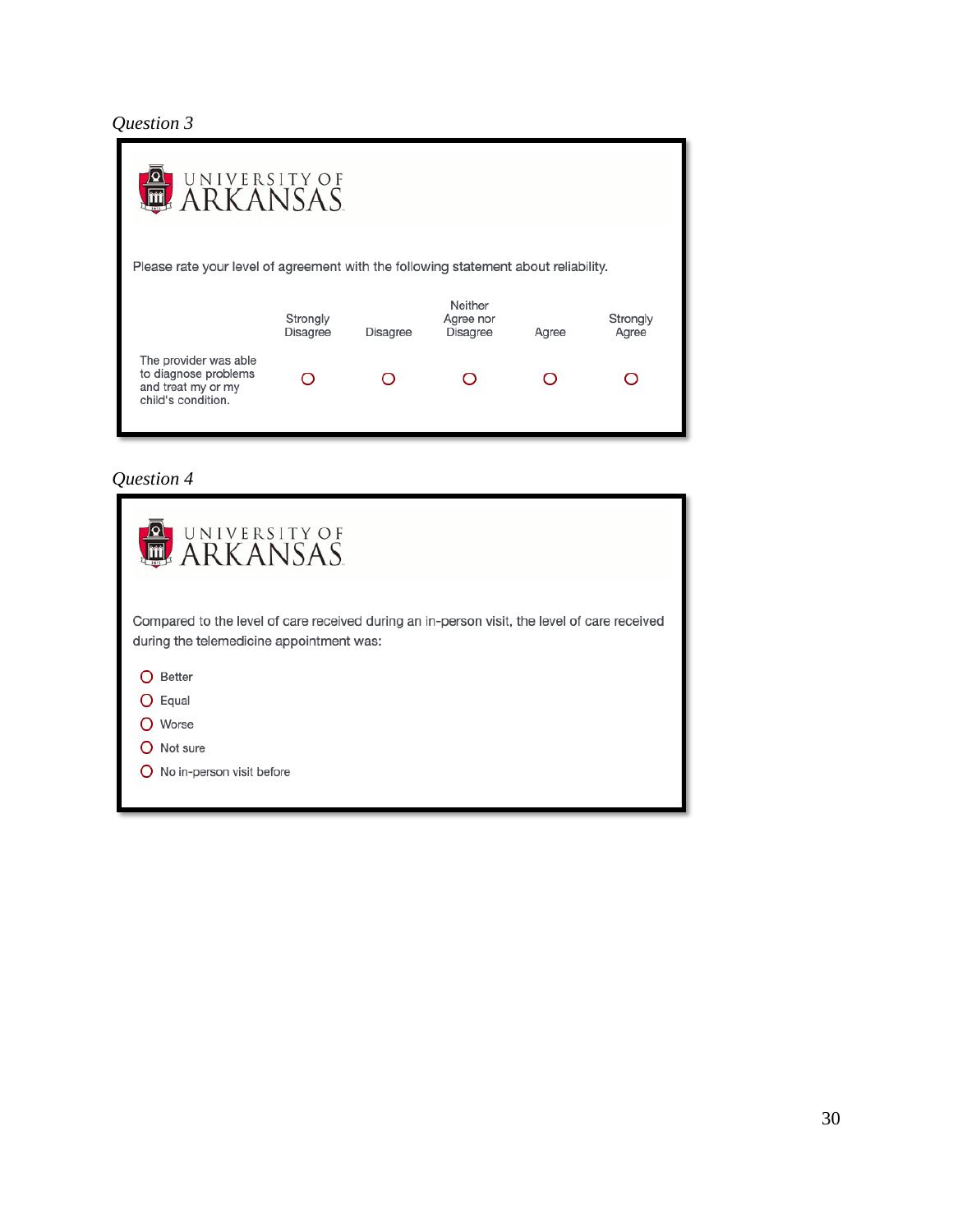| <b>UNIVERSITY OF</b><br><b>ARKANSAS</b>                                                   |                             |                 |                                         |       |                   |  |
|-------------------------------------------------------------------------------------------|-----------------------------|-----------------|-----------------------------------------|-------|-------------------|--|
| Please rate your level of agreement with the following statement about reliability.       |                             |                 |                                         |       |                   |  |
|                                                                                           | Strongly<br><b>Disagree</b> | <b>Disagree</b> | Neither<br>Agree nor<br><b>Disagree</b> | Agree | Strongly<br>Agree |  |
| The provider was able<br>to diagnose problems<br>and treat my or my<br>child's condition. |                             |                 |                                         |       |                   |  |

| UNIVERSITY OF<br><b>ARKANSAS</b>                                                                                                                                                                                                    |
|-------------------------------------------------------------------------------------------------------------------------------------------------------------------------------------------------------------------------------------|
| Compared to the level of care received during an in-person visit, the level of care received<br>during the telemedicine appointment was:<br><b>Better</b><br>Equal<br>Worse<br>∩<br>Not sure<br>∩<br>No in-person visit before<br>O |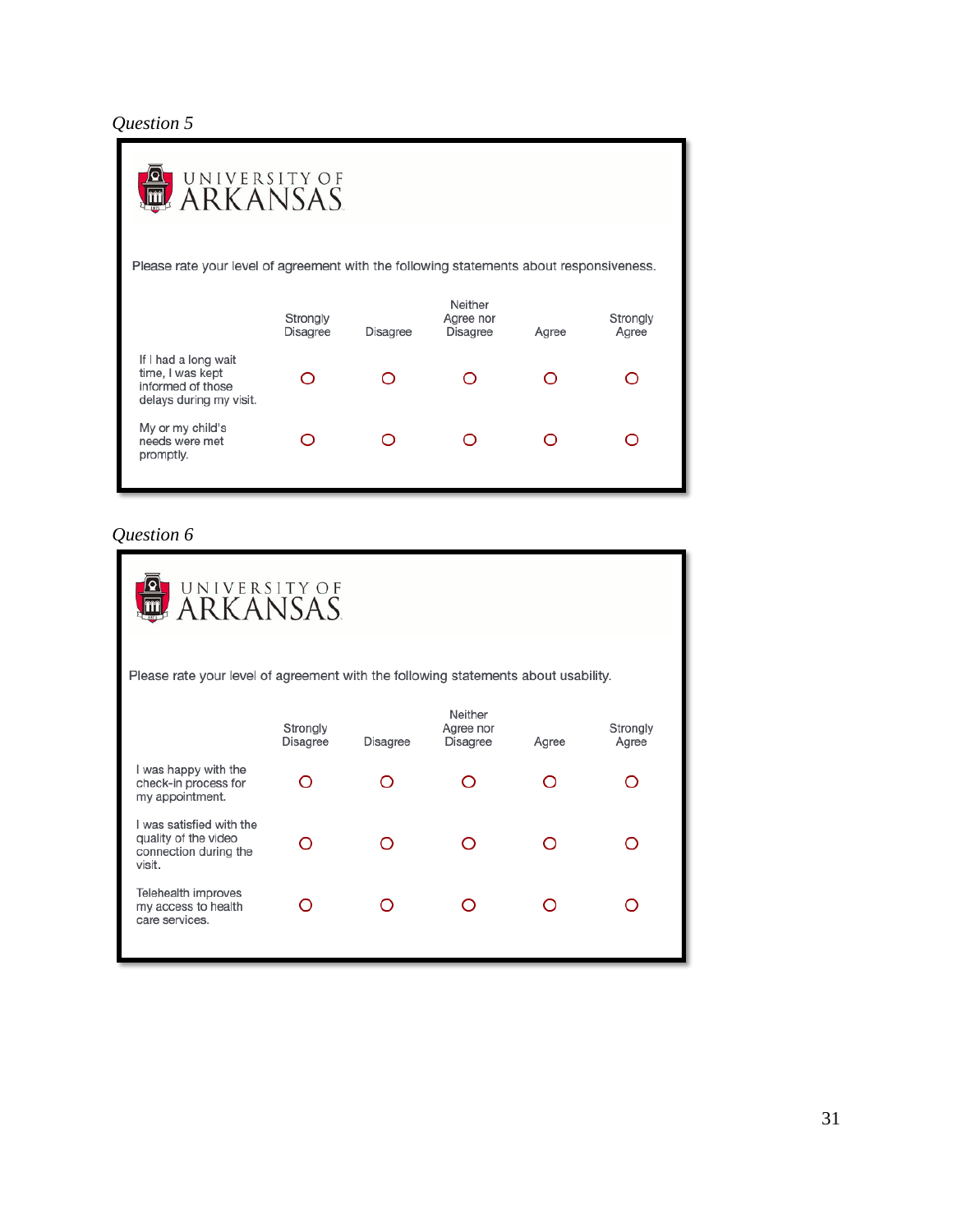| <b>UNIVERSITY OF</b><br><b>MARKANSAS</b>                                                           |                             |                 |                              |       |                   |
|----------------------------------------------------------------------------------------------------|-----------------------------|-----------------|------------------------------|-------|-------------------|
| Please rate your level of agreement with the following statements about responsiveness.<br>Neither |                             |                 |                              |       |                   |
|                                                                                                    | Strongly<br><b>Disagree</b> | <b>Disagree</b> | Agree nor<br><b>Disagree</b> | Agree | Strongly<br>Agree |
| If I had a long wait<br>time, I was kept<br>informed of those<br>delays during my visit.           |                             | ∩               |                              |       | ∩                 |
| My or my child's<br>needs were met<br>promptly.                                                    |                             |                 |                              |       |                   |

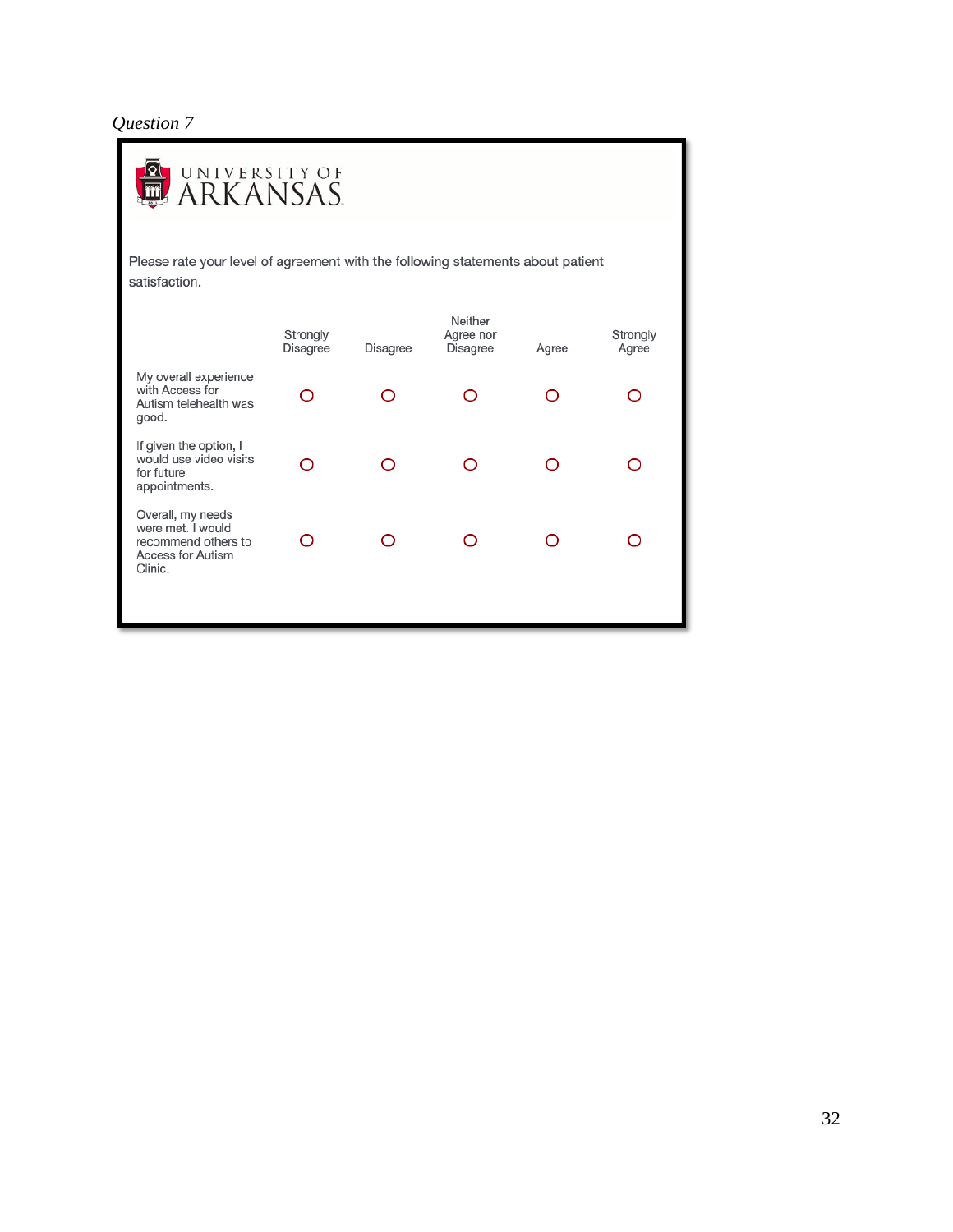| <u>(Q</u><br>UNIVERSITY OF<br><b>ARKANSAS</b>                                                        |                             |                 |                                         |       |                   |
|------------------------------------------------------------------------------------------------------|-----------------------------|-----------------|-----------------------------------------|-------|-------------------|
| Please rate your level of agreement with the following statements about patient<br>satisfaction.     |                             |                 |                                         |       |                   |
|                                                                                                      | Strongly<br><b>Disagree</b> | <b>Disagree</b> | Neither<br>Agree nor<br><b>Disagree</b> | Agree | Strongly<br>Agree |
| My overall experience<br>with Access for<br>Autism telehealth was<br>good.                           | ∩                           | ∩               |                                         | ∩     | Ω                 |
| If given the option, I<br>would use video visits<br>for future<br>appointments.                      | ∩                           | ∩               | ∩                                       | ∩     |                   |
| Overall, my needs<br>were met. I would<br>recommend others to<br><b>Access for Autism</b><br>Clinic. |                             | ∩               |                                         | ◠     |                   |
|                                                                                                      |                             |                 |                                         |       |                   |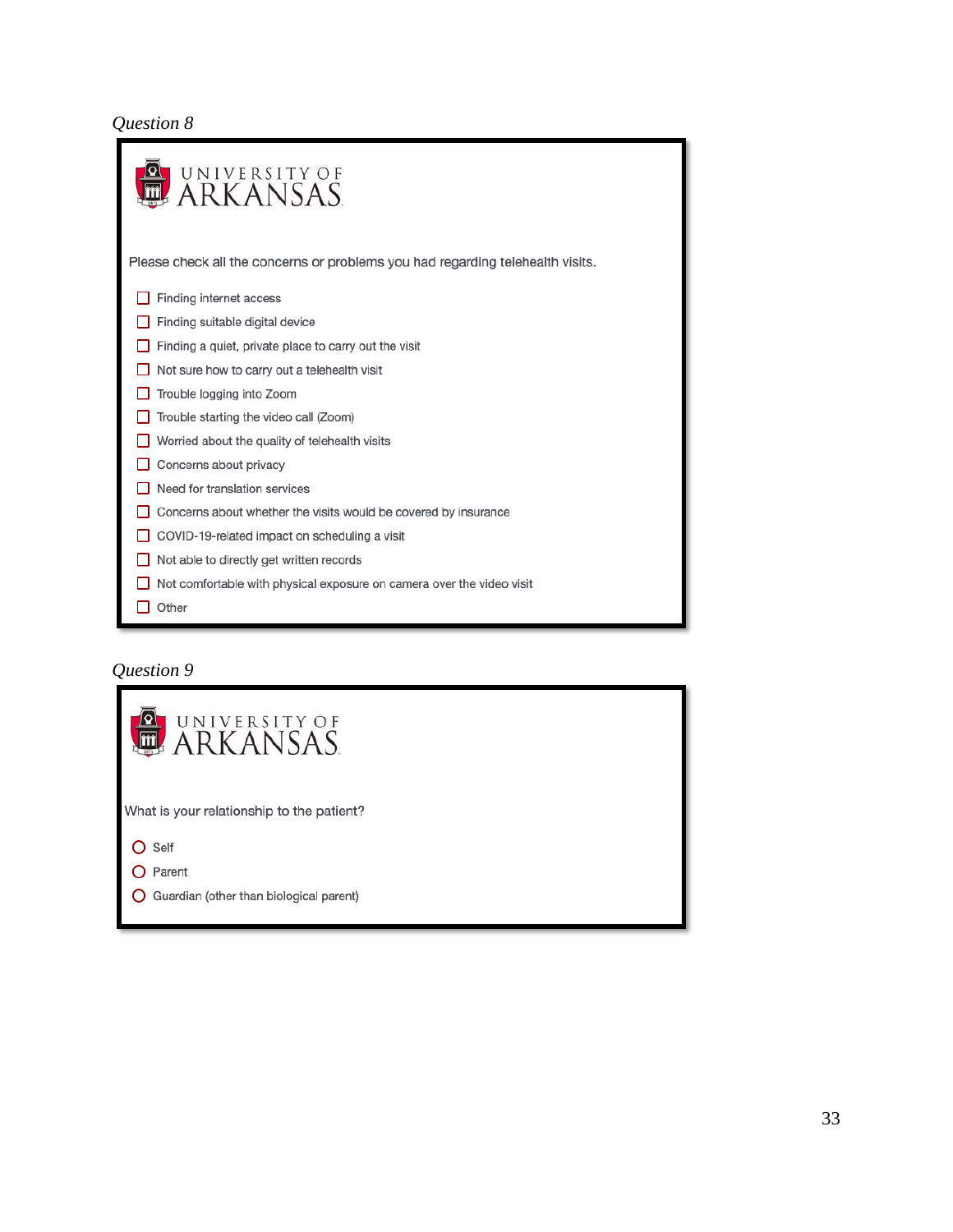